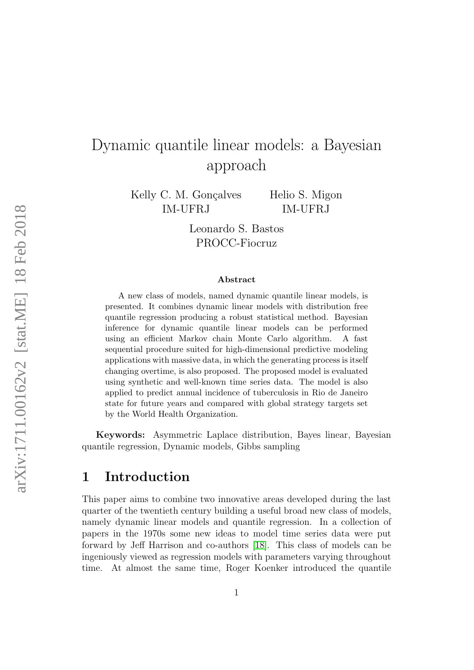# Dynamic quantile linear models: a Bayesian approach

Kelly C. M. Gonçalves IM-UFRJ

Helio S. Migon IM-UFRJ

Leonardo S. Bastos PROCC-Fiocruz

#### Abstract

A new class of models, named dynamic quantile linear models, is presented. It combines dynamic linear models with distribution free quantile regression producing a robust statistical method. Bayesian inference for dynamic quantile linear models can be performed using an efficient Markov chain Monte Carlo algorithm. A fast sequential procedure suited for high-dimensional predictive modeling applications with massive data, in which the generating process is itself changing overtime, is also proposed. The proposed model is evaluated using synthetic and well-known time series data. The model is also applied to predict annual incidence of tuberculosis in Rio de Janeiro state for future years and compared with global strategy targets set by the World Health Organization.

Keywords: Asymmetric Laplace distribution, Bayes linear, Bayesian quantile regression, Dynamic models, Gibbs sampling

## 1 Introduction

This paper aims to combine two innovative areas developed during the last quarter of the twentieth century building a useful broad new class of models, namely dynamic linear models and quantile regression. In a collection of papers in the 1970s some new ideas to model time series data were put forward by Jeff Harrison and co-authors [\[18\]](#page-33-0). This class of models can be ingeniously viewed as regression models with parameters varying throughout time. At almost the same time, Roger Koenker introduced the quantile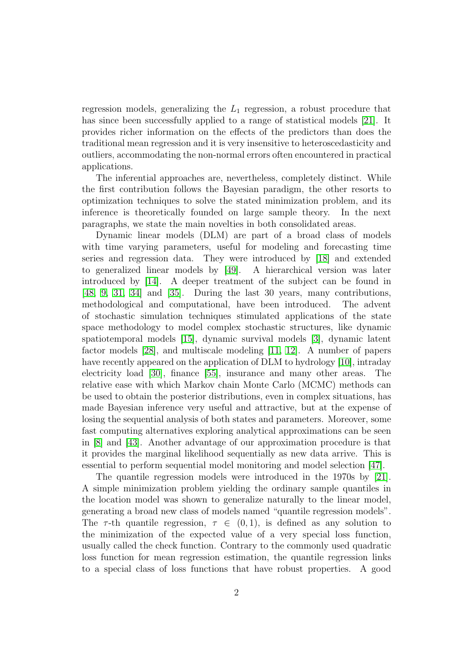regression models, generalizing the  $L_1$  regression, a robust procedure that has since been successfully applied to a range of statistical models [\[21\]](#page-34-0). It provides richer information on the effects of the predictors than does the traditional mean regression and it is very insensitive to heteroscedasticity and outliers, accommodating the non-normal errors often encountered in practical applications.

The inferential approaches are, nevertheless, completely distinct. While the first contribution follows the Bayesian paradigm, the other resorts to optimization techniques to solve the stated minimization problem, and its inference is theoretically founded on large sample theory. In the next paragraphs, we state the main novelties in both consolidated areas.

Dynamic linear models (DLM) are part of a broad class of models with time varying parameters, useful for modeling and forecasting time series and regression data. They were introduced by [\[18\]](#page-33-0) and extended to generalized linear models by [\[49\]](#page-36-0). A hierarchical version was later introduced by [\[14\]](#page-33-1). A deeper treatment of the subject can be found in [\[48,](#page-36-1) [9,](#page-33-2) [31,](#page-35-0) [34\]](#page-35-1) and [\[35\]](#page-35-2). During the last 30 years, many contributions, methodological and computational, have been introduced. The advent of stochastic simulation techniques stimulated applications of the state space methodology to model complex stochastic structures, like dynamic spatiotemporal models [\[15\]](#page-33-3), dynamic survival models [\[3\]](#page-32-0), dynamic latent factor models [\[28\]](#page-34-1), and multiscale modeling [\[11,](#page-33-4) [12\]](#page-33-5). A number of papers have recently appeared on the application of DLM to hydrology [\[10\]](#page-33-6), intraday electricity load [\[30\]](#page-34-2), finance [\[55\]](#page-37-0), insurance and many other areas. The relative ease with which Markov chain Monte Carlo (MCMC) methods can be used to obtain the posterior distributions, even in complex situations, has made Bayesian inference very useful and attractive, but at the expense of losing the sequential analysis of both states and parameters. Moreover, some fast computing alternatives exploring analytical approximations can be seen in [\[8\]](#page-33-7) and [\[43\]](#page-36-2). Another advantage of our approximation procedure is that it provides the marginal likelihood sequentially as new data arrive. This is essential to perform sequential model monitoring and model selection [\[47\]](#page-36-3).

The quantile regression models were introduced in the 1970s by [\[21\]](#page-34-0). A simple minimization problem yielding the ordinary sample quantiles in the location model was shown to generalize naturally to the linear model, generating a broad new class of models named "quantile regression models". The  $\tau$ -th quantile regression,  $\tau \in (0,1)$ , is defined as any solution to the minimization of the expected value of a very special loss function, usually called the check function. Contrary to the commonly used quadratic loss function for mean regression estimation, the quantile regression links to a special class of loss functions that have robust properties. A good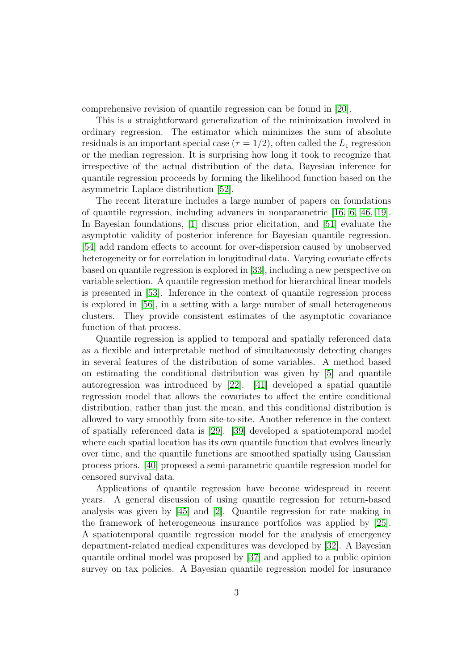comprehensive revision of quantile regression can be found in [\[20\]](#page-34-3).

This is a straightforward generalization of the minimization involved in ordinary regression. The estimator which minimizes the sum of absolute residuals is an important special case ( $\tau = 1/2$ ), often called the  $L_1$  regression or the median regression. It is surprising how long it took to recognize that irrespective of the actual distribution of the data, Bayesian inference for quantile regression proceeds by forming the likelihood function based on the asymmetric Laplace distribution [\[52\]](#page-36-4).

The recent literature includes a large number of papers on foundations of quantile regression, including advances in nonparametric [\[16,](#page-33-8) [6,](#page-32-1) [46,](#page-36-5) [19\]](#page-34-4). In Bayesian foundations, [\[1\]](#page-32-2) discuss prior elicitation, and [\[51\]](#page-36-6) evaluate the asymptotic validity of posterior inference for Bayesian quantile regression. [\[54\]](#page-37-1) add random effects to account for over-dispersion caused by unobserved heterogeneity or for correlation in longitudinal data. Varying covariate effects based on quantile regression is explored in [\[33\]](#page-35-3), including a new perspective on variable selection. A quantile regression method for hierarchical linear models is presented in [\[53\]](#page-36-7). Inference in the context of quantile regression process is explored in [\[56\]](#page-37-2), in a setting with a large number of small heterogeneous clusters. They provide consistent estimates of the asymptotic covariance function of that process.

Quantile regression is applied to temporal and spatially referenced data as a flexible and interpretable method of simultaneously detecting changes in several features of the distribution of some variables. A method based on estimating the conditional distribution was given by [\[5\]](#page-32-3) and quantile autoregression was introduced by [\[22\]](#page-34-5). [\[41\]](#page-35-4) developed a spatial quantile regression model that allows the covariates to affect the entire conditional distribution, rather than just the mean, and this conditional distribution is allowed to vary smoothly from site-to-site. Another reference in the context of spatially referenced data is [\[29\]](#page-34-6). [\[39\]](#page-35-5) developed a spatiotemporal model where each spatial location has its own quantile function that evolves linearly over time, and the quantile functions are smoothed spatially using Gaussian process priors. [\[40\]](#page-35-6) proposed a semi-parametric quantile regression model for censored survival data.

Applications of quantile regression have become widespread in recent years. A general discussion of using quantile regression for return-based analysis was given by [\[45\]](#page-36-8) and [\[2\]](#page-32-4). Quantile regression for rate making in the framework of heterogeneous insurance portfolios was applied by [\[25\]](#page-34-7). A spatiotemporal quantile regression model for the analysis of emergency department-related medical expenditures was developed by [\[32\]](#page-35-7). A Bayesian quantile ordinal model was proposed by [\[37\]](#page-35-8) and applied to a public opinion survey on tax policies. A Bayesian quantile regression model for insurance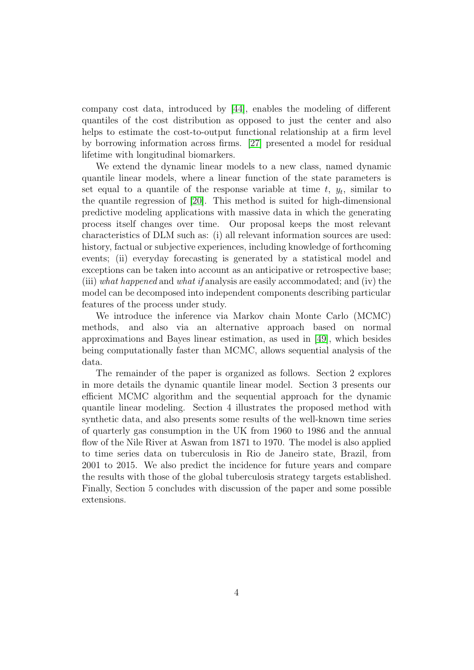company cost data, introduced by [\[44\]](#page-36-9), enables the modeling of different quantiles of the cost distribution as opposed to just the center and also helps to estimate the cost-to-output functional relationship at a firm level by borrowing information across firms. [\[27\]](#page-34-8) presented a model for residual lifetime with longitudinal biomarkers.

We extend the dynamic linear models to a new class, named dynamic quantile linear models, where a linear function of the state parameters is set equal to a quantile of the response variable at time  $t, y_t$ , similar to the quantile regression of [\[20\]](#page-34-3). This method is suited for high-dimensional predictive modeling applications with massive data in which the generating process itself changes over time. Our proposal keeps the most relevant characteristics of DLM such as: (i) all relevant information sources are used: history, factual or subjective experiences, including knowledge of forthcoming events; (ii) everyday forecasting is generated by a statistical model and exceptions can be taken into account as an anticipative or retrospective base; (iii) what happened and what if analysis are easily accommodated; and (iv) the model can be decomposed into independent components describing particular features of the process under study.

We introduce the inference via Markov chain Monte Carlo (MCMC) methods, and also via an alternative approach based on normal approximations and Bayes linear estimation, as used in [\[49\]](#page-36-0), which besides being computationally faster than MCMC, allows sequential analysis of the data.

The remainder of the paper is organized as follows. Section 2 explores in more details the dynamic quantile linear model. Section 3 presents our efficient MCMC algorithm and the sequential approach for the dynamic quantile linear modeling. Section 4 illustrates the proposed method with synthetic data, and also presents some results of the well-known time series of quarterly gas consumption in the UK from 1960 to 1986 and the annual flow of the Nile River at Aswan from 1871 to 1970. The model is also applied to time series data on tuberculosis in Rio de Janeiro state, Brazil, from 2001 to 2015. We also predict the incidence for future years and compare the results with those of the global tuberculosis strategy targets established. Finally, Section 5 concludes with discussion of the paper and some possible extensions.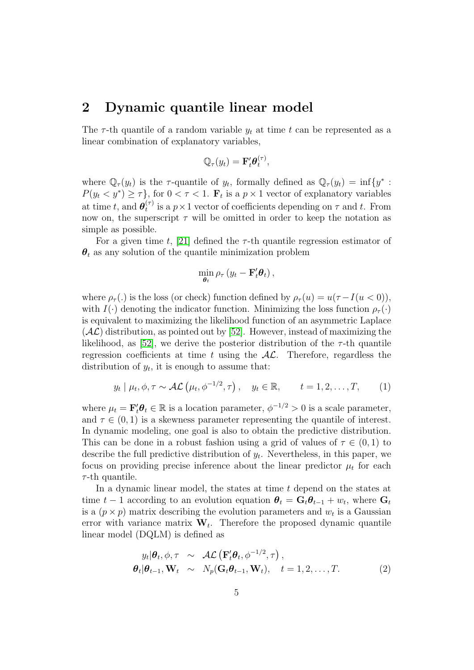## 2 Dynamic quantile linear model

The  $\tau$ -th quantile of a random variable  $y_t$  at time t can be represented as a linear combination of explanatory variables,

$$
\mathbb{Q}_{\tau}(y_t) = \mathbf{F}'_t \boldsymbol{\theta}_t^{(\tau)},
$$

where  $\mathbb{Q}_{\tau}(y_t)$  is the  $\tau$ -quantile of  $y_t$ , formally defined as  $\mathbb{Q}_{\tau}(y_t) = \inf\{y^* :$  $P(y_t \lt y^*) \ge \tau$ , for  $0 \lt \tau \lt 1$ .  $\mathbf{F}_t$  is a  $p \times 1$  vector of explanatory variables at time t, and  $\boldsymbol{\theta}_t^{(\tau)}$  $t<sup>{(\tau)}</sup>$ </sup> is a  $p \times 1$  vector of coefficients depending on  $\tau$  and t. From now on, the superscript  $\tau$  will be omitted in order to keep the notation as simple as possible.

For a given time t, [\[21\]](#page-34-0) defined the  $\tau$ -th quantile regression estimator of  $\theta_t$  as any solution of the quantile minimization problem

$$
\min_{\boldsymbol{\theta}_t} \rho_{\tau} \left( y_t - \mathbf{F}'_t \boldsymbol{\theta}_t \right),
$$

where  $\rho_{\tau}$ (.) is the loss (or check) function defined by  $\rho_{\tau}(u) = u(\tau - I(u < 0)),$ with  $I(\cdot)$  denoting the indicator function. Minimizing the loss function  $\rho_{\tau}(\cdot)$ is equivalent to maximizing the likelihood function of an asymmetric Laplace  $(\mathcal{A}\mathcal{L})$  distribution, as pointed out by [\[52\]](#page-36-4). However, instead of maximizing the likelihood, as [\[52\]](#page-36-4), we derive the posterior distribution of the  $\tau$ -th quantile regression coefficients at time t using the  $AL$ . Therefore, regardless the distribution of  $y_t$ , it is enough to assume that:

$$
y_t | \mu_t, \phi, \tau \sim \mathcal{AL}(\mu_t, \phi^{-1/2}, \tau), \quad y_t \in \mathbb{R}, \qquad t = 1, 2, \dots, T,
$$
 (1)

where  $\mu_t = \mathbf{F}'_t \theta_t \in \mathbb{R}$  is a location parameter,  $\phi^{-1/2} > 0$  is a scale parameter, and  $\tau \in (0, 1)$  is a skewness parameter representing the quantile of interest. In dynamic modeling, one goal is also to obtain the predictive distribution. This can be done in a robust fashion using a grid of values of  $\tau \in (0,1)$  to describe the full predictive distribution of  $y_t$ . Nevertheless, in this paper, we focus on providing precise inference about the linear predictor  $\mu_t$  for each  $\tau$ -th quantile.

In a dynamic linear model, the states at time t depend on the states at time  $t-1$  according to an evolution equation  $\boldsymbol{\theta}_t = \mathbf{G}_t \boldsymbol{\theta}_{t-1} + w_t$ , where  $\mathbf{G}_t$ is a  $(p \times p)$  matrix describing the evolution parameters and  $w_t$  is a Gaussian error with variance matrix  $W_t$ . Therefore the proposed dynamic quantile linear model (DQLM) is defined as

<span id="page-4-0"></span>
$$
y_t | \boldsymbol{\theta}_t, \phi, \tau \sim \mathcal{AL}\left(\mathbf{F}_t' \boldsymbol{\theta}_t, \phi^{-1/2}, \tau\right),
$$
  

$$
\boldsymbol{\theta}_t | \boldsymbol{\theta}_{t-1}, \mathbf{W}_t \sim N_p(\mathbf{G}_t \boldsymbol{\theta}_{t-1}, \mathbf{W}_t), \quad t = 1, 2, ..., T.
$$
 (2)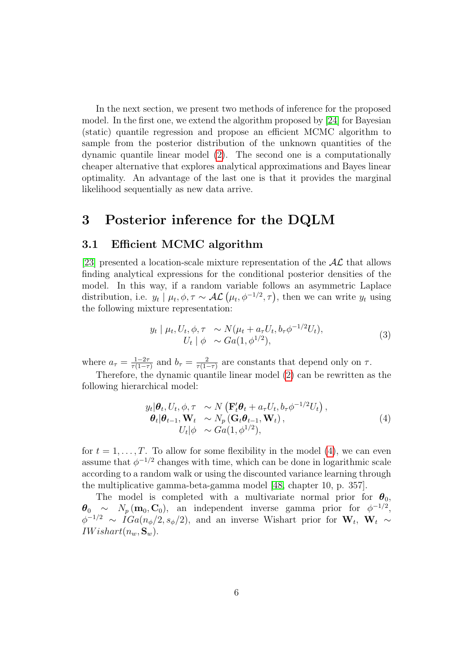In the next section, we present two methods of inference for the proposed model. In the first one, we extend the algorithm proposed by [\[24\]](#page-34-9) for Bayesian (static) quantile regression and propose an efficient MCMC algorithm to sample from the posterior distribution of the unknown quantities of the dynamic quantile linear model [\(2\)](#page-4-0). The second one is a computationally cheaper alternative that explores analytical approximations and Bayes linear optimality. An advantage of the last one is that it provides the marginal likelihood sequentially as new data arrive.

## 3 Posterior inference for the DQLM

### 3.1 Efficient MCMC algorithm

[\[23\]](#page-34-10) presented a location-scale mixture representation of the  $AL$  that allows finding analytical expressions for the conditional posterior densities of the model. In this way, if a random variable follows an asymmetric Laplace distribution, i.e.  $y_t | \mu_t, \phi, \tau \sim \mathcal{AL}(\mu_t, \phi^{-1/2}, \tau)$ , then we can write  $y_t$  using the following mixture representation:

<span id="page-5-1"></span>
$$
y_t | \mu_t, U_t, \phi, \tau \sim N(\mu_t + a_{\tau} U_t, b_{\tau} \phi^{-1/2} U_t), U_t | \phi \sim Ga(1, \phi^{1/2}),
$$
 (3)

where  $a_{\tau} = \frac{1-2\tau}{\tau(1-\tau)}$  $\frac{1-2\tau}{\tau(1-\tau)}$  and  $b_{\tau} = \frac{2}{\tau(1-\tau)}$  $\frac{2}{\tau(1-\tau)}$  are constants that depend only on  $\tau$ .

Therefore, the dynamic quantile linear model [\(2\)](#page-4-0) can be rewritten as the following hierarchical model:

<span id="page-5-0"></span>
$$
y_t | \theta_t, U_t, \phi, \tau \sim N \left( \mathbf{F}_t' \theta_t + a_\tau U_t, b_\tau \phi^{-1/2} U_t \right),
$$
  
\n
$$
\theta_t | \theta_{t-1}, \mathbf{W}_t \sim N_p \left( \mathbf{G}_t \theta_{t-1}, \mathbf{W}_t \right),
$$
  
\n
$$
U_t | \phi \sim Ga(1, \phi^{1/2}),
$$
\n(4)

for  $t = 1, \ldots, T$ . To allow for some flexibility in the model [\(4\)](#page-5-0), we can even assume that  $\phi^{-1/2}$  changes with time, which can be done in logarithmic scale according to a random walk or using the discounted variance learning through the multiplicative gamma-beta-gamma model [\[48,](#page-36-1) chapter 10, p. 357].

The model is completed with a multivariate normal prior for  $\theta_0$ ,  $\theta_0 \sim N_p(\mathbf{m}_0, \mathbf{C}_0)$ , an independent inverse gamma prior for  $\phi^{-1/2}$ ,  $\phi^{-1/2} \sim IGa(n_{\phi}/2, s_{\phi}/2)$ , and an inverse Wishart prior for  $W_t$ ,  $W_t \sim$  $IWishart(n_w, \mathbf{S}_w).$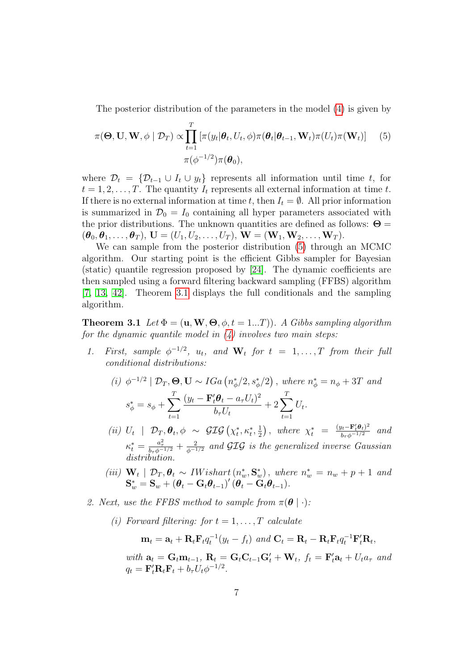The posterior distribution of the parameters in the model [\(4\)](#page-5-0) is given by

<span id="page-6-0"></span>
$$
\pi(\boldsymbol{\Theta}, \mathbf{U}, \mathbf{W}, \phi \mid \mathcal{D}_T) \propto \prod_{t=1}^T \left[ \pi(y_t | \boldsymbol{\theta}_t, U_t, \phi) \pi(\boldsymbol{\theta}_t | \boldsymbol{\theta}_{t-1}, \mathbf{W}_t) \pi(U_t) \pi(\mathbf{W}_t) \right] \tag{5}
$$

$$
\pi(\phi^{-1/2}) \pi(\boldsymbol{\theta}_0),
$$

where  $\mathcal{D}_t = \{ \mathcal{D}_{t-1} \cup I_t \cup y_t \}$  represents all information until time t, for  $t = 1, 2, \ldots, T$ . The quantity  $I_t$  represents all external information at time t. If there is no external information at time t, then  $I_t = \emptyset$ . All prior information is summarized in  $\mathcal{D}_0 = I_0$  containing all hyper parameters associated with the prior distributions. The unknown quantities are defined as follows:  $\Theta =$  $(\boldsymbol{\theta}_0, \boldsymbol{\theta}_1, \dots, \boldsymbol{\theta}_T), \mathbf{U} = (U_1, U_2, \dots, U_T), \mathbf{W} = (\mathbf{W}_1, \mathbf{W}_2, \dots, \mathbf{W}_T).$ 

We can sample from the posterior distribution [\(5\)](#page-6-0) through an MCMC algorithm. Our starting point is the efficient Gibbs sampler for Bayesian (static) quantile regression proposed by [\[24\]](#page-34-9). The dynamic coefficients are then sampled using a forward filtering backward sampling (FFBS) algorithm [\[7,](#page-32-5) [13,](#page-33-9) [42\]](#page-35-9). Theorem [3.1](#page-6-1) displays the full conditionals and the sampling algorithm.

<span id="page-6-1"></span>**Theorem 3.1** Let  $\Phi = (\mathbf{u}, \mathbf{W}, \mathbf{\Theta}, \phi, t = 1...T))$ . A Gibbs sampling algorithm for the dynamic quantile model in  $(4)$  involves two main steps:

1. First, sample  $\phi^{-1/2}$ ,  $u_t$ , and  $\mathbf{W}_t$  for  $t = 1, \ldots, T$  from their full conditional distributions:

(i) 
$$
\phi^{-1/2} | \mathcal{D}_T, \Theta, \mathbf{U} \sim IGa \left( n_{\phi}^*/2, s_{\phi}^*/2 \right), \text{ where } n_{\phi}^* = n_{\phi} + 3T \text{ and } s_{\phi}^* = s_{\phi} + \sum_{t=1}^T \frac{(y_t - \mathbf{F}'_t \theta_t - a_{\tau} U_t)^2}{b_{\tau} U_t} + 2 \sum_{t=1}^T U_t.
$$

- (*ii*)  $U_t$  |  $\mathcal{D}_T, \theta_t, \phi \sim \mathcal{GIG}(\chi_t^*, \kappa_t^*, \frac{1}{2})$  $\left(\frac{1}{2}\right)$ , where  $\chi_t^* = \frac{(y_t - \mathbf{F}_t'\boldsymbol{\theta}_t)^2}{b_\tau\phi^{-1/2}}$  and  $\kappa_t^* = \frac{a_\tau^2}{b_\tau \phi^{-1/2}} + \frac{2}{\phi^{-1/2}}$  and GIG is the generalized inverse Gaussian distribution.
- (iii)  $\mathbf{W}_t \mid \mathcal{D}_T, \theta_t \sim \textit{IWishart}(n_w^*, \mathbf{S}_w^*)$ , where  $n_w^* = n_w + p + 1$  and  $\mathbf{S}_w^* = \mathbf{S}_w + \left(\boldsymbol{\theta}_t - \mathbf{G}_t \boldsymbol{\theta}_{t-1}\right)'(\overset{\sim}{\boldsymbol{\theta}_t} - \overset{\sim}{\mathbf{G}}_t \boldsymbol{\theta}_{t-1}).$
- 2. Next, use the FFBS method to sample from  $\pi(\theta \mid \cdot)$ :
	- (i) Forward filtering: for  $t = 1, \ldots, T$  calculate

$$
\mathbf{m}_t = \mathbf{a}_t + \mathbf{R}_t \mathbf{F}_t q_t^{-1} (y_t - f_t) \text{ and } \mathbf{C}_t = \mathbf{R}_t - \mathbf{R}_t \mathbf{F}_t q_t^{-1} \mathbf{F}_t' \mathbf{R}_t,
$$

with  $\mathbf{a}_t = \mathbf{G}_t \mathbf{m}_{t-1}$ ,  $\mathbf{R}_t = \mathbf{G}_t \mathbf{C}_{t-1} \mathbf{G}'_t + \mathbf{W}_t$ ,  $f_t = \mathbf{F}'_t \mathbf{a}_t + U_t a_{\tau}$  and  $q_t = \mathbf{F}_t' \mathbf{R}_t \mathbf{F}_t + b_\tau U_t \phi^{-1/2}.$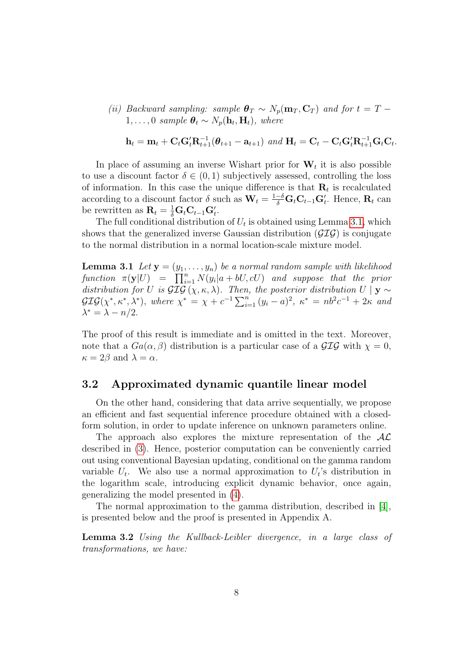(ii) Backward sampling: sample  $\theta_T \sim N_p(\mathbf{m}_T, \mathbf{C}_T)$  and for  $t = T 1, \ldots, 0$  sample  $\boldsymbol{\theta}_t \sim N_p(\mathbf{h}_t, \mathbf{H}_t)$ , where

$$
\mathbf{h}_t = \mathbf{m}_t + \mathbf{C}_t \mathbf{G}_t^{\prime} \mathbf{R}_{t+1}^{-1} (\boldsymbol{\theta}_{t+1} - \mathbf{a}_{t+1}) \text{ and } \mathbf{H}_t = \mathbf{C}_t - \mathbf{C}_t \mathbf{G}_t^{\prime} \mathbf{R}_{t+1}^{-1} \mathbf{G}_t \mathbf{C}_t.
$$

In place of assuming an inverse Wishart prior for  $W_t$  it is also possible to use a discount factor  $\delta \in (0,1)$  subjectively assessed, controlling the loss of information. In this case the unique difference is that  $\mathbf{R}_t$  is recalculated according to a discount factor  $\delta$  such as  $\mathbf{W}_t = \frac{1-\delta}{\delta} \mathbf{G}_t \mathbf{C}_{t-1} \mathbf{G}'_t$ . Hence,  $\mathbf{R}_t$  can be rewritten as  $\mathbf{R}_t = \frac{1}{\delta} \mathbf{G}_t \mathbf{C}_{t-1} \mathbf{G}_t'$ .

The full conditional distribution of  $U_t$  is obtained using Lemma [3.1,](#page-7-0) which shows that the generalized inverse Gaussian distribution  $(\mathcal{GIG})$  is conjugate to the normal distribution in a normal location-scale mixture model.

<span id="page-7-0"></span>**Lemma 3.1** Let  $y = (y_1, \ldots, y_n)$  be a normal random sample with likelihood function  $\pi(\mathbf{y}|U) = \prod_{i=1}^{n} N(y_i|a+bU, cU)$  and suppose that the prior distribution for U is  $\mathcal{GIG}(\chi,\kappa,\lambda)$ . Then, the posterior distribution  $U \mid \mathbf{y} \sim$  $GIG(\chi^*, \kappa^*, \lambda^*)$ , where  $\chi^* = \chi + c^{-1} \sum_{i=1}^n (y_i - a)^2$ ,  $\kappa^* = nb^2c^{-1} + 2\kappa$  and  $\lambda^* = \lambda - n/2.$ 

The proof of this result is immediate and is omitted in the text. Moreover, note that a  $Ga(\alpha, \beta)$  distribution is a particular case of a  $\mathcal{GIG}$  with  $\chi = 0$ ,  $\kappa = 2\beta$  and  $\lambda = \alpha$ .

### 3.2 Approximated dynamic quantile linear model

On the other hand, considering that data arrive sequentially, we propose an efficient and fast sequential inference procedure obtained with a closedform solution, in order to update inference on unknown parameters online.

The approach also explores the mixture representation of the  $AL$ described in [\(3\)](#page-5-1). Hence, posterior computation can be conveniently carried out using conventional Bayesian updating, conditional on the gamma random variable  $U_t$ . We also use a normal approximation to  $U_t$ 's distribution in the logarithm scale, introducing explicit dynamic behavior, once again, generalizing the model presented in [\(4\)](#page-5-0).

<span id="page-7-1"></span>The normal approximation to the gamma distribution, described in [\[4\]](#page-32-6), is presented below and the proof is presented in Appendix A.

Lemma 3.2 Using the Kullback-Leibler divergence, in a large class of transformations, we have: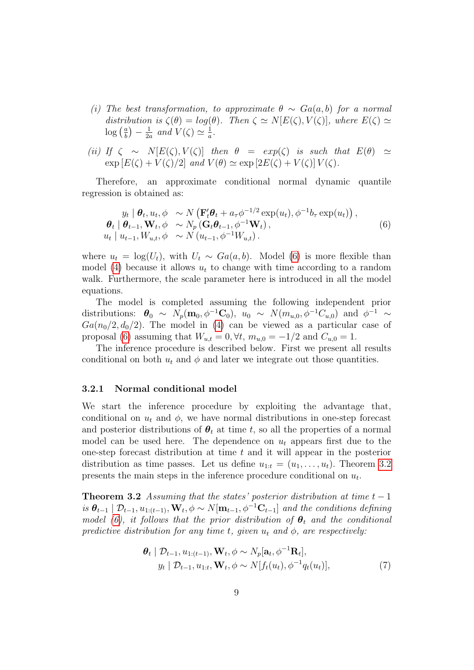- (i) The best transformation, to approximate  $\theta \sim Ga(a, b)$  for a normal distribution is  $\zeta(\theta) = \log(\theta)$ . Then  $\zeta \simeq N[E(\zeta), V(\zeta)]$ , where  $E(\zeta) \simeq$  $\log\left(\frac{a}{b}\right)$  $\frac{a}{b}$ ) —  $\frac{1}{2a}$  $\frac{1}{2a}$  and  $V(\zeta) \simeq \frac{1}{a}$  $\frac{1}{a}$ .
- (ii) If  $\zeta \sim N[E(\zeta), V(\zeta)]$  then  $\theta = exp(\zeta)$  is such that  $E(\theta) \simeq$  $\exp\left[E(\zeta) + V(\zeta)/2\right]$  and  $V(\theta) \simeq \exp\left[2E(\zeta) + V(\zeta)\right] V(\zeta)$ .

Therefore, an approximate conditional normal dynamic quantile regression is obtained as:

<span id="page-8-0"></span>
$$
y_t | \boldsymbol{\theta}_t, u_t, \phi \sim N \left( \mathbf{F}_t' \boldsymbol{\theta}_t + a_\tau \phi^{-1/2} \exp(u_t), \phi^{-1} b_\tau \exp(u_t) \right),
$$
  

$$
\boldsymbol{\theta}_t | \boldsymbol{\theta}_{t-1}, \mathbf{W}_t, \phi \sim N_p \left( \mathbf{G}_t \boldsymbol{\theta}_{t-1}, \phi^{-1} \mathbf{W}_t \right),
$$
  

$$
u_t | u_{t-1}, W_{u,t}, \phi \sim N \left( u_{t-1}, \phi^{-1} W_{u,t} \right).
$$
 (6)

where  $u_t = \log(U_t)$ , with  $U_t \sim Ga(a, b)$ . Model [\(6\)](#page-8-0) is more flexible than model [\(4\)](#page-5-0) because it allows  $u_t$  to change with time according to a random walk. Furthermore, the scale parameter here is introduced in all the model equations.

The model is completed assuming the following independent prior distributions:  $\boldsymbol{\theta}_0 \sim N_p(\mathbf{m}_0, \phi^{-1}\mathbf{C}_0)$ ,  $u_0 \sim N(m_{u,0}, \phi^{-1}C_{u,0})$  and  $\phi^{-1} \sim$  $Ga(n_0/2, d_0/2)$ . The model in [\(4\)](#page-5-0) can be viewed as a particular case of proposal [\(6\)](#page-8-0) assuming that  $W_{u,t} = 0, \forall t, m_{u,0} = -1/2$  and  $C_{u,0} = 1$ .

The inference procedure is described below. First we present all results conditional on both  $u_t$  and  $\phi$  and later we integrate out those quantities.

#### 3.2.1 Normal conditional model

We start the inference procedure by exploiting the advantage that, conditional on  $u_t$  and  $\phi$ , we have normal distributions in one-step forecast and posterior distributions of  $\theta_t$  at time t, so all the properties of a normal model can be used here. The dependence on  $u_t$  appears first due to the one-step forecast distribution at time  $t$  and it will appear in the posterior distribution as time passes. Let us define  $u_{1:t} = (u_1, \ldots, u_t)$ . Theorem [3.2](#page-8-1) presents the main steps in the inference procedure conditional on  $u_t$ .

<span id="page-8-1"></span>Theorem 3.2 Assuming that the states' posterior distribution at time  $t - 1$ is  $\theta_{t-1} | \mathcal{D}_{t-1}, u_{1:(t-1)}, \mathbf{W}_t, \phi \sim N[\mathbf{m}_{t-1}, \phi^{-1}\mathbf{C}_{t-1}]$  and the conditions defining model [\(6\)](#page-8-0), it follows that the prior distribution of  $\theta_t$  and the conditional predictive distribution for any time t, given  $u_t$  and  $\phi$ , are respectively:

<span id="page-8-2"></span>
$$
\theta_t | \mathcal{D}_{t-1}, u_{1:(t-1)}, \mathbf{W}_t, \phi \sim N_p[\mathbf{a}_t, \phi^{-1} \mathbf{R}_t], \ny_t | \mathcal{D}_{t-1}, u_{1:t}, \mathbf{W}_t, \phi \sim N[f_t(u_t), \phi^{-1} q_t(u_t)],
$$
\n(7)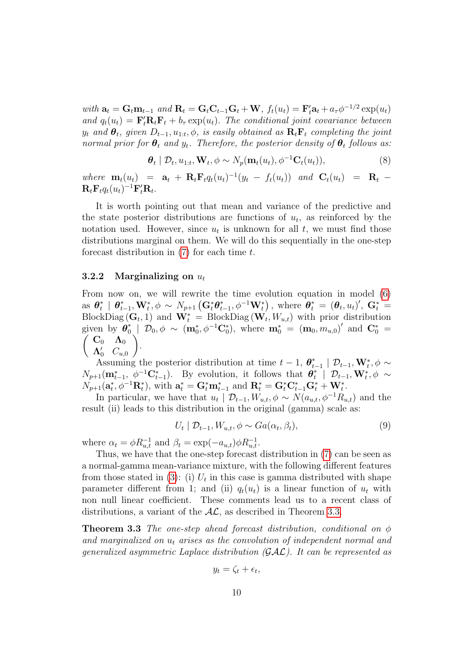with  $\mathbf{a}_t = \mathbf{G}_t \mathbf{m}_{t-1}$  and  $\mathbf{R}_t = \mathbf{G}_t \mathbf{C}_{t-1} \mathbf{G}_t + \mathbf{W}$ ,  $f_t(u_t) = \mathbf{F}'_t \mathbf{a}_t + a_\tau \phi^{-1/2} \exp(u_t)$ and  $q_t(u_t) = \mathbf{F}_t' \mathbf{R}_t \mathbf{F}_t + b_\tau \exp(u_t)$ . The conditional joint covariance between  $y_t$  and  $\boldsymbol{\theta}_t$ , given  $D_{t-1}, u_{1:t}, \phi$ , is easily obtained as  $\mathbf{R}_t \mathbf{F}_t$  completing the joint normal prior for  $\theta_t$  and  $y_t$ . Therefore, the posterior density of  $\theta_t$  follows as:

$$
\boldsymbol{\theta}_t \mid \mathcal{D}_t, u_{1:t}, \mathbf{W}_t, \phi \sim N_p(\mathbf{m}_t(u_t), \phi^{-1}\mathbf{C}_t(u_t)), \tag{8}
$$

where  $\mathbf{m}_t(u_t) = \mathbf{a}_t + \mathbf{R}_t \mathbf{F}_t q_t(u_t)^{-1} (y_t - f_t(u_t))$  and  $\mathbf{C}_t(u_t) = \mathbf{R}_t$  $\mathbf{R}_t \mathbf{F}_t q_t(u_t)^{-1} \mathbf{F}_t' \mathbf{R}_t.$ 

It is worth pointing out that mean and variance of the predictive and the state posterior distributions are functions of  $u_t$ , as reinforced by the notation used. However, since  $u_t$  is unknown for all  $t$ , we must find those distributions marginal on them. We will do this sequentially in the one-step forecast distribution in  $(7)$  for each time t.

#### 3.2.2 Marginalizing on  $u_t$

From now on, we will rewrite the time evolution equation in model [\(6\)](#page-8-0) as  $\boldsymbol{\theta}_t^*$  $_t^*$  |  $\boldsymbol{\theta}_t^*$  $_{t-1}^{\ast},\mathbf{W}_{t}^{\ast},\phi\,\sim\,N_{p+1}\left(\mathbf{G}_{t}^{\ast}\boldsymbol{\theta}_{t}^{\ast}\right)$  $_{t-1}^{*},\phi^{-1}\mathbf{W}_{t}^{*}$ ), where  $\boldsymbol{\theta}_{t}^{*} = (\boldsymbol{\theta}_{t},u_{t})^{\prime}, \; \mathbf{G}_{t}^{*} =$ BlockDiag  $(G_t, 1)$  and  $W_t^* = \text{BlockDiag}(W_t, W_{u,t})$  with prior distribution given by  $\boldsymbol{\theta}_0^*$ given by  $\hat{\theta}_0^*$  |  $\mathcal{D}_0$ ,  $\phi \sim (\mathbf{m}_0^*, \phi^{-1} \mathbf{C}_0^*)$ , where  $\mathbf{m}_0^* = (\mathbf{m}_0, m_{u,0})'$  and  $\mathbf{C}_0^* = \left(\begin{array}{cc} \mathbf{C}_0 & \mathbf{\Lambda}_0 \end{array}\right)$  $\Lambda_0'$   $C_{u,0}$  $\setminus$ .

Assuming the posterior distribution at time  $t-1, \theta_t^*$  $_{t-1}^*$  |  $\mathcal{D}_{t-1}, \mathbf{W}_t^*, \phi \sim$  $N_{p+1}(\mathbf{m}_{t-1}^*, \phi^{-1}\mathbf{C}_{t-1}^*)$ . By evolution, it follows that  $\boldsymbol{\theta}_t^*$  $t^*$  | D<sub>t−1</sub>,  $\mathbf{W}_t^*, \phi$  ~  $N_{p+1}(\mathbf{a}_t^*, \phi^{-1}\mathbf{R}_t^*)$ , with  $\mathbf{a}_t^* = \mathbf{G}_t^* \mathbf{m}_{t-1}^*$  and  $\mathbf{R}_t^* = \mathbf{G}_t^* \mathbf{C}_{t-1}^* \mathbf{G}_t^* + \mathbf{W}_t^*$ .

In particular, we have that  $u_t | \mathcal{D}_{t-1}, W_{u,t}, \phi \sim N(a_{u,t}, \phi^{-1}R_{u,t})$  and the result (ii) leads to this distribution in the original (gamma) scale as:

$$
U_t | \mathcal{D}_{t-1}, W_{u,t}, \phi \sim Ga(\alpha_t, \beta_t), \tag{9}
$$

where  $\alpha_t = \phi R_{u,t}^{-1}$  and  $\beta_t = \exp(-a_{u,t})\phi R_{u,t}^{-1}$ .

Thus, we have that the one-step forecast distribution in [\(7\)](#page-8-2) can be seen as a normal-gamma mean-variance mixture, with the following different features from those stated in [\(3\)](#page-5-1): (i)  $U_t$  in this case is gamma distributed with shape parameter different from 1; and (ii)  $q_t(u_t)$  is a linear function of  $u_t$  with non null linear coefficient. These comments lead us to a recent class of distributions, a variant of the  $A\mathcal{L}$ , as described in Theorem [3.3.](#page-9-0)

<span id="page-9-0"></span>**Theorem 3.3** The one-step ahead forecast distribution, conditional on  $\phi$ and marginalized on  $u_t$  arises as the convolution of independent normal and generalized asymmetric Laplace distribution  $(\mathcal{GAL})$ . It can be represented as

$$
y_t = \zeta_t + \epsilon_t,
$$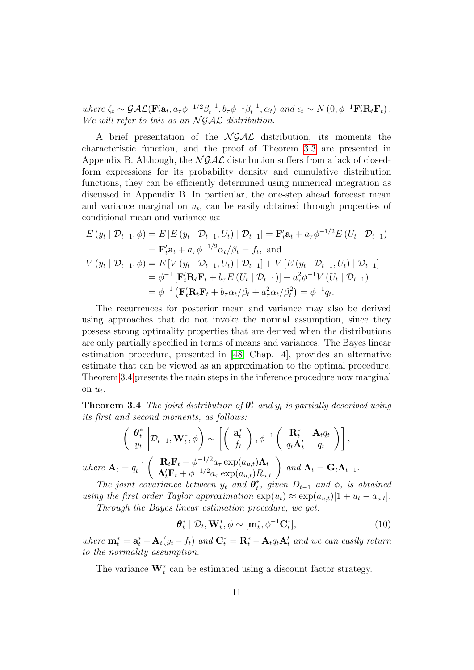where  $\zeta_t \sim \mathcal{GAL}(\mathbf{F}_t'\mathbf{a}_t, a_\tau \phi^{-1/2}\beta_t^{-1}, b_\tau \phi^{-1}\beta_t^{-1}, \alpha_t)$  and  $\epsilon_t \sim N(0, \phi^{-1}\mathbf{F}_t'\mathbf{R}_t\mathbf{F}_t)$ . We will refer to this as an  $\mathcal{N} \mathcal{G} \mathcal{A} \mathcal{L}$  distribution.

A brief presentation of the  $N \mathcal{GAL}$  distribution, its moments the characteristic function, and the proof of Theorem [3.3](#page-9-0) are presented in Appendix B. Although, the  $N \mathcal{GAL}$  distribution suffers from a lack of closedform expressions for its probability density and cumulative distribution functions, they can be efficiently determined using numerical integration as discussed in Appendix B. In particular, the one-step ahead forecast mean and variance marginal on  $u_t$ , can be easily obtained through properties of conditional mean and variance as:

$$
E(y_t | \mathcal{D}_{t-1}, \phi) = E [E (y_t | \mathcal{D}_{t-1}, U_t) | \mathcal{D}_{t-1}] = \mathbf{F}'_t \mathbf{a}_t + a_\tau \phi^{-1/2} E (U_t | \mathcal{D}_{t-1})
$$
  
\n
$$
= \mathbf{F}'_t \mathbf{a}_t + a_\tau \phi^{-1/2} \alpha_t / \beta_t = f_t, \text{ and}
$$
  
\n
$$
V (y_t | \mathcal{D}_{t-1}, \phi) = E [V (y_t | \mathcal{D}_{t-1}, U_t) | \mathcal{D}_{t-1}] + V [E (y_t | \mathcal{D}_{t-1}, U_t) | \mathcal{D}_{t-1}]
$$
  
\n
$$
= \phi^{-1} [\mathbf{F}'_t \mathbf{R}_t \mathbf{F}_t + b_\tau E (U_t | \mathcal{D}_{t-1})] + a_\tau^2 \phi^{-1} V (U_t | \mathcal{D}_{t-1})
$$
  
\n
$$
= \phi^{-1} (\mathbf{F}'_t \mathbf{R}_t \mathbf{F}_t + b_\tau \alpha_t / \beta_t + a_\tau^2 \alpha_t / \beta_t^2) = \phi^{-1} q_t.
$$

The recurrences for posterior mean and variance may also be derived using approaches that do not invoke the normal assumption, since they possess strong optimality properties that are derived when the distributions are only partially specified in terms of means and variances. The Bayes linear estimation procedure, presented in [\[48,](#page-36-1) Chap. 4], provides an alternative estimate that can be viewed as an approximation to the optimal procedure. Theorem [3.4](#page-10-0) presents the main steps in the inference procedure now marginal on  $u_t$ .

<span id="page-10-0"></span>**Theorem 3.4** The joint distribution of  $\theta_t^*$  and  $y_t$  is partially described using its first and second moments, as follows:

$$
\begin{pmatrix}\n\boldsymbol{\theta}_{t}^{*} \mid D_{t-1}, \mathbf{W}_{t}^{*}, \phi\n\end{pmatrix} \sim \begin{bmatrix}\n\mathbf{a}_{t}^{*} \\
f_{t}\n\end{bmatrix}, \phi^{-1} \begin{pmatrix}\n\mathbf{R}_{t}^{*} & \mathbf{A}_{t} q_{t} \\
q_{t} \mathbf{A}_{t}^{\prime} & q_{t}\n\end{pmatrix},
$$
\nwhere  $\mathbf{A}_{t} = q_{t}^{-1} \begin{pmatrix}\n\mathbf{R}_{t} \mathbf{F}_{t} + \phi^{-1/2} a_{\tau} \exp(a_{u,t}) \mathbf{\Lambda}_{t} \\
\mathbf{\Lambda}_{t}^{\prime} \mathbf{F}_{t} + \phi^{-1/2} a_{\tau} \exp(a_{u,t}) R_{u,t}\n\end{pmatrix}$  and  $\mathbf{\Lambda}_{t} = \mathbf{G}_{t} \mathbf{\Lambda}_{t-1}.$ 

The joint covariance between  $y_t$  and  $\theta_t^*$  $\eta_t^*$ , given  $D_{t-1}$  and  $\phi$ , is obtained using the first order Taylor approximation  $\exp(u_t) \approx \exp(a_{u,t})[1 + u_t - a_{u,t}].$ 

Through the Bayes linear estimation procedure, we get:

$$
\boldsymbol{\theta}_t^* \mid \mathcal{D}_t, \mathbf{W}_t^*, \phi \sim [\mathbf{m}_t^*, \phi^{-1} \mathbf{C}_t^*], \tag{10}
$$

where  $\mathbf{m}_t^* = \mathbf{a}_t^* + \mathbf{A}_t(y_t - f_t)$  and  $\mathbf{C}_t^* = \mathbf{R}_t^* - \mathbf{A}_t q_t \mathbf{A}_t'$  and we can easily return to the normality assumption.

The variance  $\mathbf{W}_{t}^{*}$  can be estimated using a discount factor strategy.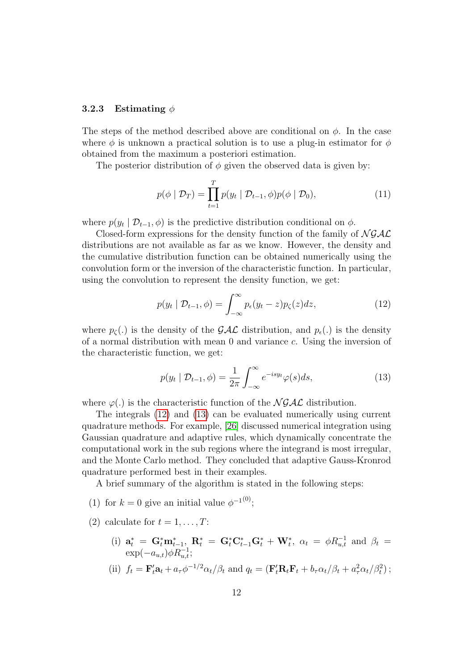#### 3.2.3 Estimating  $\phi$

The steps of the method described above are conditional on  $\phi$ . In the case where  $\phi$  is unknown a practical solution is to use a plug-in estimator for  $\phi$ obtained from the maximum a posteriori estimation.

The posterior distribution of  $\phi$  given the observed data is given by:

<span id="page-11-2"></span>
$$
p(\phi \mid \mathcal{D}_T) = \prod_{t=1}^T p(y_t \mid \mathcal{D}_{t-1}, \phi) p(\phi \mid \mathcal{D}_0), \tag{11}
$$

where  $p(y_t | \mathcal{D}_{t-1}, \phi)$  is the predictive distribution conditional on  $\phi$ .

Closed-form expressions for the density function of the family of  $N \mathcal{GAL}$ distributions are not available as far as we know. However, the density and the cumulative distribution function can be obtained numerically using the convolution form or the inversion of the characteristic function. In particular, using the convolution to represent the density function, we get:

<span id="page-11-0"></span>
$$
p(y_t | \mathcal{D}_{t-1}, \phi) = \int_{-\infty}^{\infty} p_{\epsilon}(y_t - z) p_{\zeta}(z) dz,
$$
 (12)

where  $p_{\zeta}(\cdot)$  is the density of the  $\mathcal{GAL}$  distribution, and  $p_{\epsilon}(\cdot)$  is the density of a normal distribution with mean 0 and variance c. Using the inversion of the characteristic function, we get:

<span id="page-11-1"></span>
$$
p(y_t | \mathcal{D}_{t-1}, \phi) = \frac{1}{2\pi} \int_{-\infty}^{\infty} e^{-isy_t} \varphi(s) ds,
$$
\n(13)

where  $\varphi(.)$  is the characteristic function of the  $\mathcal{N} \mathcal{G} \mathcal{A} \mathcal{L}$  distribution.

The integrals [\(12\)](#page-11-0) and [\(13\)](#page-11-1) can be evaluated numerically using current quadrature methods. For example, [\[26\]](#page-34-11) discussed numerical integration using Gaussian quadrature and adaptive rules, which dynamically concentrate the computational work in the sub regions where the integrand is most irregular, and the Monte Carlo method. They concluded that adaptive Gauss-Kronrod quadrature performed best in their examples.

A brief summary of the algorithm is stated in the following steps:

- (1) for  $k = 0$  give an initial value  $\phi^{-1(0)}$ ;
- (2) calculate for  $t = 1, \ldots, T$ :
	- (i)  $\mathbf{a}_t^* = \mathbf{G}_t^* \mathbf{m}_{t-1}^*$ ,  $\mathbf{R}_t^* = \mathbf{G}_t^* \mathbf{C}_{t-1}^* \mathbf{G}_t^* + \mathbf{W}_t^*$ ,  $\alpha_t = \phi R_{u,t}^{-1}$  and  $\beta_t =$  $\exp(-a_{u,t})\phi R_{u,t}^{-1};$
	- (ii)  $f_t = \mathbf{F}'_t \mathbf{a}_t + a_\tau \phi^{-1/2} \alpha_t / \beta_t$  and  $q_t = (\mathbf{F}'_t \mathbf{R}_t \mathbf{F}_t + b_\tau \alpha_t / \beta_t + a_\tau^2 \alpha_t / \beta_t^2);$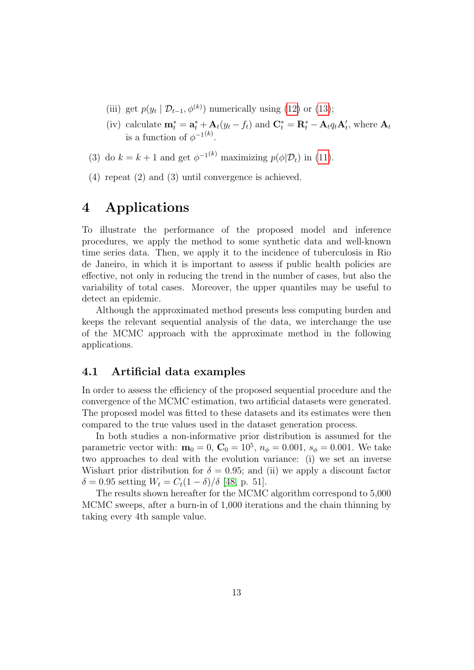- (iii) get  $p(y_t | \mathcal{D}_{t-1}, \phi^{(k)})$  numerically using [\(12\)](#page-11-0) or [\(13\)](#page-11-1);
- (iv) calculate  $\mathbf{m}_t^* = \mathbf{a}_t^* + \mathbf{A}_t(y_t f_t)$  and  $\mathbf{C}_t^* = \mathbf{R}_t^* \mathbf{A}_t q_t \mathbf{A}_t'$ , where  $\mathbf{A}_t$ is a function of  $\phi^{-1(k)}$ .
- (3) do  $k = k + 1$  and get  $\phi^{-1(k)}$  maximizing  $p(\phi | \mathcal{D}_t)$  in [\(11\)](#page-11-2).
- (4) repeat (2) and (3) until convergence is achieved.

## 4 Applications

To illustrate the performance of the proposed model and inference procedures, we apply the method to some synthetic data and well-known time series data. Then, we apply it to the incidence of tuberculosis in Rio de Janeiro, in which it is important to assess if public health policies are effective, not only in reducing the trend in the number of cases, but also the variability of total cases. Moreover, the upper quantiles may be useful to detect an epidemic.

Although the approximated method presents less computing burden and keeps the relevant sequential analysis of the data, we interchange the use of the MCMC approach with the approximate method in the following applications.

### 4.1 Artificial data examples

In order to assess the efficiency of the proposed sequential procedure and the convergence of the MCMC estimation, two artificial datasets were generated. The proposed model was fitted to these datasets and its estimates were then compared to the true values used in the dataset generation process.

In both studies a non-informative prior distribution is assumed for the parametric vector with:  $m_0 = 0$ ,  $C_0 = 10^5$ ,  $n_\phi = 0.001$ ,  $s_\phi = 0.001$ . We take two approaches to deal with the evolution variance: (i) we set an inverse Wishart prior distribution for  $\delta = 0.95$ ; and (ii) we apply a discount factor δ = 0.95 setting  $W_t = C_t(1 - \delta)/δ$  [\[48,](#page-36-1) p. 51].

The results shown hereafter for the MCMC algorithm correspond to 5,000 MCMC sweeps, after a burn-in of 1,000 iterations and the chain thinning by taking every 4th sample value.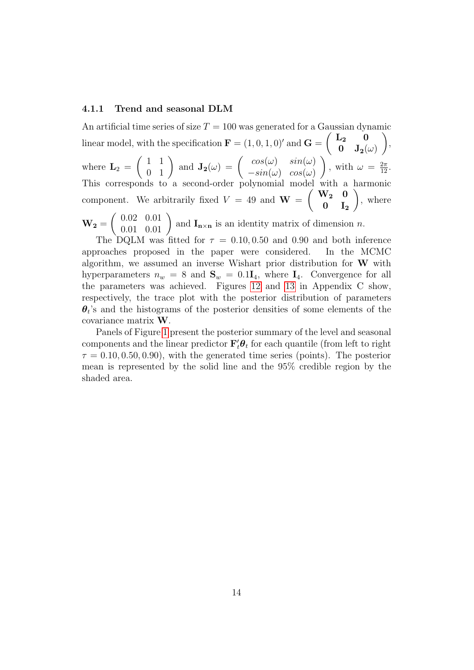#### 4.1.1 Trend and seasonal DLM

An artificial time series of size  $T = 100$  was generated for a Gaussian dynamic linear model, with the specification  $\mathbf{F} = (1, 0, 1, 0)$  and  $\mathbf{G} = \begin{pmatrix} \mathbf{L_2} & \mathbf{0} \\ \mathbf{0} & \mathbf{I} \end{pmatrix}$  $\mathbf{0} \quad \mathbf{J_2}(\omega)$  $\setminus$ , where  $\mathbf{L}_2 =$  $\begin{pmatrix} 1 & 1 \\ 0 & 1 \end{pmatrix}$  and  $\mathbf{J_2}(\omega) = \begin{pmatrix} cos(\omega) & sin(\omega) \\ -sin(\omega) & cos(\omega) \end{pmatrix}$  $-sin(\omega) \cos(\omega)$  $\setminus$ , with  $\omega = \frac{2\pi}{12}$ . This corresponds to a second-order polynomial model with a harmonic component. We arbitrarily fixed  $V = 49$  and  $\mathbf{W} = \begin{pmatrix} \mathbf{W_2} & \mathbf{0} \\ \mathbf{0} & \mathbf{I} \end{pmatrix}$  $0 \quad I_2$  $\setminus$ , where  $\bf{W}_2 =$  $\left(\begin{array}{cc} 0.02 & 0.01 \\ 0.01 & 0.01 \end{array}\right)$  and  $\mathbf{I}_{\mathbf{n}\times\mathbf{n}}$  is an identity matrix of dimension n.

The DQLM was fitted for  $\tau = 0.10, 0.50$  and 0.90 and both inference approaches proposed in the paper were considered. In the MCMC algorithm, we assumed an inverse Wishart prior distribution for  $W$  with hyperparameters  $n_w = 8$  and  $S_w = 0.1I_4$ , where  $I_4$ . Convergence for all the parameters was achieved. Figures [12](#page-31-0) and [13](#page-32-7) in Appendix C show, respectively, the trace plot with the posterior distribution of parameters  $\theta_t$ 's and the histograms of the posterior densities of some elements of the covariance matrix W.

Panels of Figure [1](#page-14-0) present the posterior summary of the level and seasonal components and the linear predictor  $\mathbf{F}'_t \boldsymbol{\theta}_t$  for each quantile (from left to right  $\tau = 0.10, 0.50, 0.90$ , with the generated time series (points). The posterior mean is represented by the solid line and the 95% credible region by the shaded area.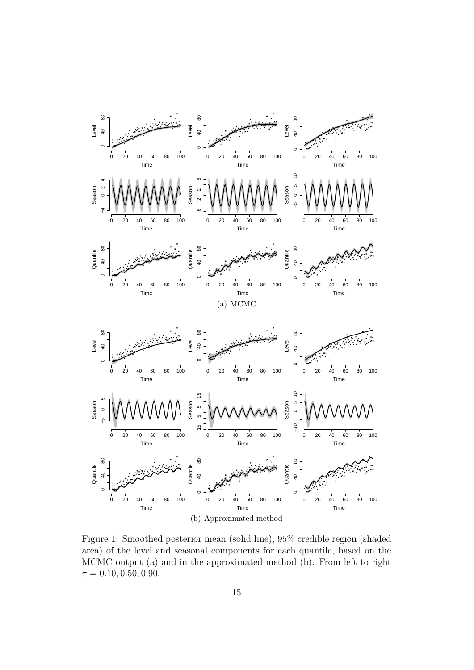

<span id="page-14-0"></span>Figure 1: Smoothed posterior mean (solid line), 95% credible region (shaded area) of the level and seasonal components for each quantile, based on the MCMC output (a) and in the approximated method (b). From left to right  $\tau = 0.10, 0.50, 0.90.$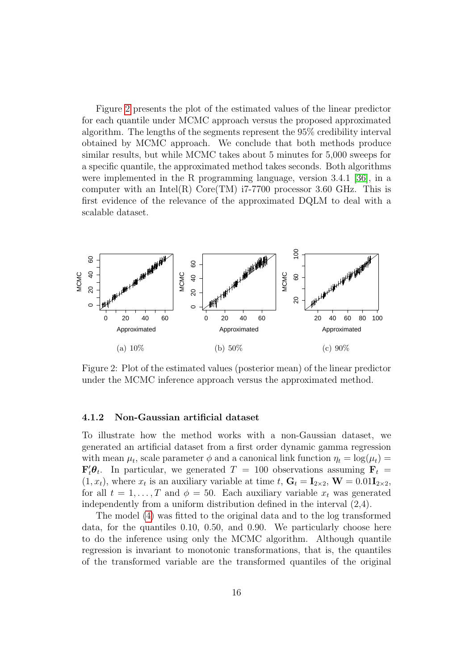Figure [2](#page-15-0) presents the plot of the estimated values of the linear predictor for each quantile under MCMC approach versus the proposed approximated algorithm. The lengths of the segments represent the 95% credibility interval obtained by MCMC approach. We conclude that both methods produce similar results, but while MCMC takes about 5 minutes for 5,000 sweeps for a specific quantile, the approximated method takes seconds. Both algorithms were implemented in the R programming language, version 3.4.1 [\[36\]](#page-35-10), in a computer with an Intel(R) Core(TM)  $i7-7700$  processor 3.60 GHz. This is first evidence of the relevance of the approximated DQLM to deal with a scalable dataset.



<span id="page-15-0"></span>Figure 2: Plot of the estimated values (posterior mean) of the linear predictor under the MCMC inference approach versus the approximated method.

#### 4.1.2 Non-Gaussian artificial dataset

To illustrate how the method works with a non-Gaussian dataset, we generated an artificial dataset from a first order dynamic gamma regression with mean  $\mu_t$ , scale parameter  $\phi$  and a canonical link function  $\eta_t = \log(\mu_t) =$  $\mathbf{F}'_t \boldsymbol{\theta}_t$ . In particular, we generated  $T = 100$  observations assuming  $\mathbf{F}_t =$  $(1, x_t)$ , where  $x_t$  is an auxiliary variable at time  $t, G_t = I_{2 \times 2}$ ,  $W = 0.01 I_{2 \times 2}$ , for all  $t = 1, ..., T$  and  $\phi = 50$ . Each auxiliary variable  $x_t$  was generated independently from a uniform distribution defined in the interval (2,4).

The model [\(4\)](#page-5-0) was fitted to the original data and to the log transformed data, for the quantiles 0.10, 0.50, and 0.90. We particularly choose here to do the inference using only the MCMC algorithm. Although quantile regression is invariant to monotonic transformations, that is, the quantiles of the transformed variable are the transformed quantiles of the original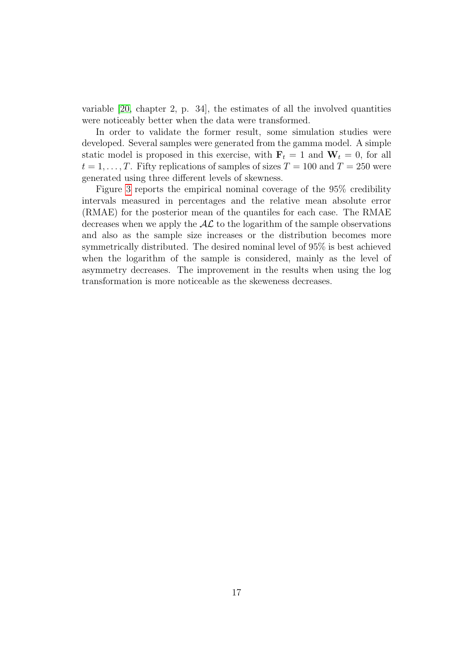variable  $[20,$  chapter 2, p. 34, the estimates of all the involved quantities were noticeably better when the data were transformed.

In order to validate the former result, some simulation studies were developed. Several samples were generated from the gamma model. A simple static model is proposed in this exercise, with  $\mathbf{F}_t = 1$  and  $\mathbf{W}_t = 0$ , for all  $t = 1, \ldots, T$ . Fifty replications of samples of sizes  $T = 100$  and  $T = 250$  were generated using three different levels of skewness.

Figure [3](#page-17-0) reports the empirical nominal coverage of the 95% credibility intervals measured in percentages and the relative mean absolute error (RMAE) for the posterior mean of the quantiles for each case. The RMAE decreases when we apply the  $AL$  to the logarithm of the sample observations and also as the sample size increases or the distribution becomes more symmetrically distributed. The desired nominal level of 95% is best achieved when the logarithm of the sample is considered, mainly as the level of asymmetry decreases. The improvement in the results when using the log transformation is more noticeable as the skeweness decreases.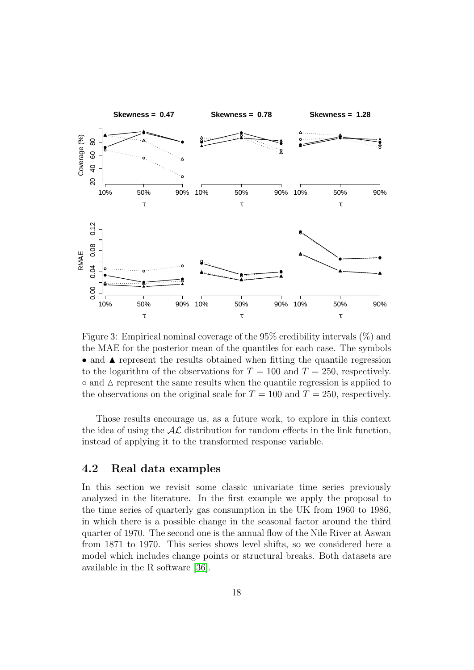

<span id="page-17-0"></span>Figure 3: Empirical nominal coverage of the 95% credibility intervals (%) and the MAE for the posterior mean of the quantiles for each case. The symbols • and  $\blacktriangle$  represent the results obtained when fitting the quantile regression to the logarithm of the observations for  $T = 100$  and  $T = 250$ , respectively.  $\circ$  and  $\Delta$  represent the same results when the quantile regression is applied to the observations on the original scale for  $T = 100$  and  $T = 250$ , respectively.

Those results encourage us, as a future work, to explore in this context the idea of using the  $AL$  distribution for random effects in the link function, instead of applying it to the transformed response variable.

### 4.2 Real data examples

In this section we revisit some classic univariate time series previously analyzed in the literature. In the first example we apply the proposal to the time series of quarterly gas consumption in the UK from 1960 to 1986, in which there is a possible change in the seasonal factor around the third quarter of 1970. The second one is the annual flow of the Nile River at Aswan from 1871 to 1970. This series shows level shifts, so we considered here a model which includes change points or structural breaks. Both datasets are available in the R software [\[36\]](#page-35-10).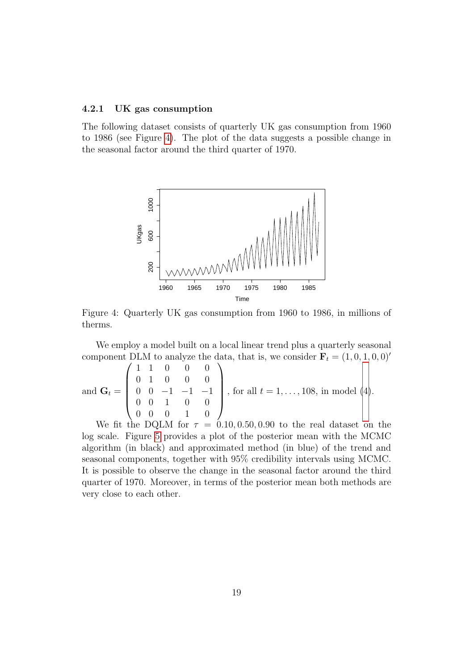#### 4.2.1 UK gas consumption

The following dataset consists of quarterly UK gas consumption from 1960 to 1986 (see Figure [4\)](#page-18-0). The plot of the data suggests a possible change in the seasonal factor around the third quarter of 1970.



<span id="page-18-0"></span>Figure 4: Quarterly UK gas consumption from 1960 to 1986, in millions of therms.

We employ a model built on a local linear trend plus a quarterly seasonal component DLM to analyze the data, that is, we consider  $\mathbf{F}_t = (1, 0, 1, 0, 0)$ '

and 
$$
\mathbf{G}_t = \begin{pmatrix} 1 & 1 & 0 & 0 & 0 \\ 0 & 1 & 0 & 0 & 0 \\ 0 & 0 & -1 & -1 & -1 \\ 0 & 0 & 1 & 0 & 0 \\ 0 & 0 & 0 & 1 & 0 \end{pmatrix}
$$
, for all  $t = 1, ..., 108$ , in model (4).

We fit the DQLM for  $\tau = 0.10, 0.50, 0.90$  to the real dataset on the log scale. Figure [5](#page-19-0) provides a plot of the posterior mean with the MCMC algorithm (in black) and approximated method (in blue) of the trend and seasonal components, together with 95% credibility intervals using MCMC. It is possible to observe the change in the seasonal factor around the third quarter of 1970. Moreover, in terms of the posterior mean both methods are very close to each other.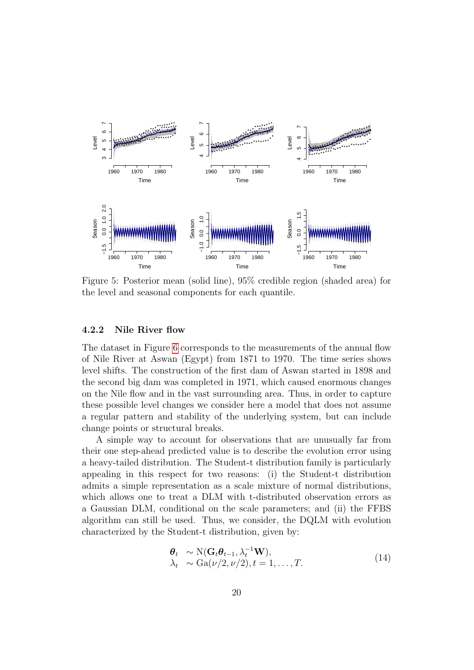

<span id="page-19-0"></span>Figure 5: Posterior mean (solid line), 95% credible region (shaded area) for the level and seasonal components for each quantile.

#### 4.2.2 Nile River flow

The dataset in Figure [6](#page-20-0) corresponds to the measurements of the annual flow of Nile River at Aswan (Egypt) from 1871 to 1970. The time series shows level shifts. The construction of the first dam of Aswan started in 1898 and the second big dam was completed in 1971, which caused enormous changes on the Nile flow and in the vast surrounding area. Thus, in order to capture these possible level changes we consider here a model that does not assume a regular pattern and stability of the underlying system, but can include change points or structural breaks.

A simple way to account for observations that are unusually far from their one step-ahead predicted value is to describe the evolution error using a heavy-tailed distribution. The Student-t distribution family is particularly appealing in this respect for two reasons: (i) the Student-t distribution admits a simple representation as a scale mixture of normal distributions, which allows one to treat a DLM with t-distributed observation errors as a Gaussian DLM, conditional on the scale parameters; and (ii) the FFBS algorithm can still be used. Thus, we consider, the DQLM with evolution characterized by the Student-t distribution, given by:

<span id="page-19-1"></span>
$$
\begin{aligned} \boldsymbol{\theta}_{t} &\sim \text{N}(\mathbf{G}_{t}\boldsymbol{\theta}_{t-1}, \lambda_{t}^{-1}\mathbf{W}), \\ \lambda_{t} &\sim \text{Ga}(\nu/2, \nu/2), t = 1, \dots, T. \end{aligned} \tag{14}
$$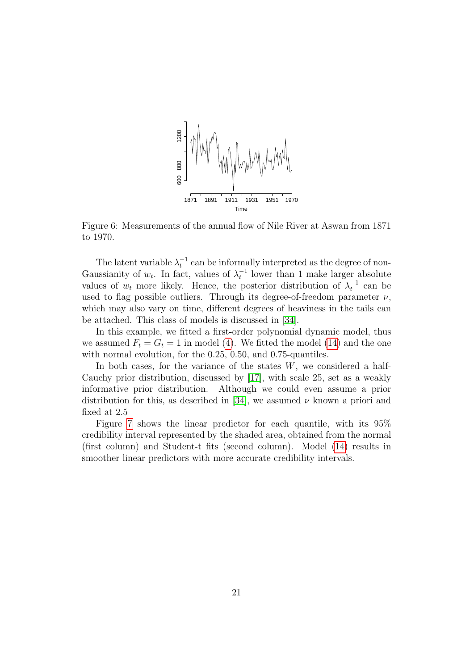

<span id="page-20-0"></span>Figure 6: Measurements of the annual flow of Nile River at Aswan from 1871 to 1970.

The latent variable  $\lambda_t^{-1}$  can be informally interpreted as the degree of non-Gaussianity of  $w_t$ . In fact, values of  $\lambda_t^{-1}$  lower than 1 make larger absolute values of  $w_t$  more likely. Hence, the posterior distribution of  $\lambda_t^{-1}$  can be used to flag possible outliers. Through its degree-of-freedom parameter  $\nu$ , which may also vary on time, different degrees of heaviness in the tails can be attached. This class of models is discussed in [\[34\]](#page-35-1).

In this example, we fitted a first-order polynomial dynamic model, thus we assumed  $F_t = G_t = 1$  in model [\(4\)](#page-5-0). We fitted the model [\(14\)](#page-19-1) and the one with normal evolution, for the 0.25, 0.50, and 0.75-quantiles.

In both cases, for the variance of the states  $W$ , we considered a half-Cauchy prior distribution, discussed by [\[17\]](#page-33-10), with scale 25, set as a weakly informative prior distribution. Although we could even assume a prior distribution for this, as described in [\[34\]](#page-35-1), we assumed  $\nu$  known a priori and fixed at 2.5

Figure [7](#page-21-0) shows the linear predictor for each quantile, with its 95% credibility interval represented by the shaded area, obtained from the normal (first column) and Student-t fits (second column). Model [\(14\)](#page-19-1) results in smoother linear predictors with more accurate credibility intervals.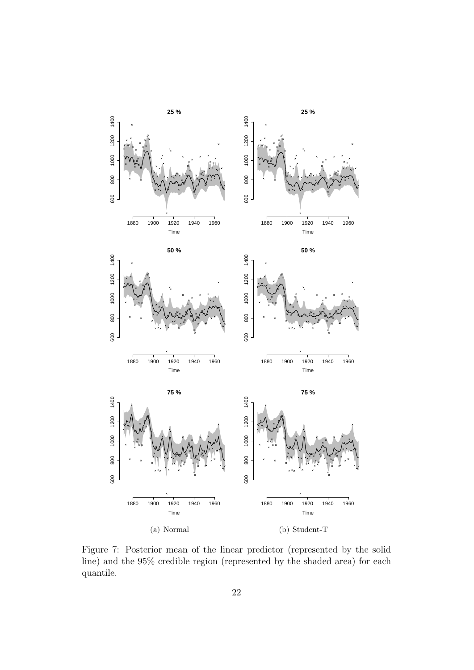

<span id="page-21-0"></span>Figure 7: Posterior mean of the linear predictor (represented by the solid line) and the 95% credible region (represented by the shaded area) for each quantile.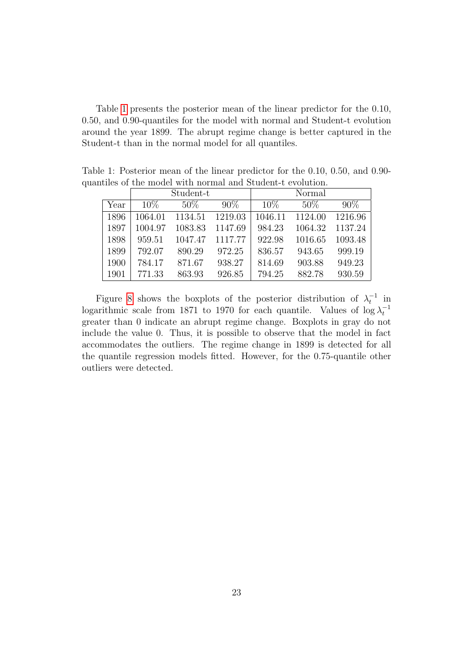Table [1](#page-22-0) presents the posterior mean of the linear predictor for the 0.10, 0.50, and 0.90-quantiles for the model with normal and Student-t evolution around the year 1899. The abrupt regime change is better captured in the Student-t than in the normal model for all quantiles.

<span id="page-22-0"></span>

|      | Student-t |         |         | Normal  |         |         |
|------|-----------|---------|---------|---------|---------|---------|
| Year | 10\%      | $50\%$  | $90\%$  | 10%     | 50%     | 90%     |
| 1896 | 1064.01   | 1134.51 | 1219.03 | 1046.11 | 1124.00 | 1216.96 |
| 1897 | 1004.97   | 1083.83 | 1147.69 | 984.23  | 1064.32 | 1137.24 |
| 1898 | 959.51    | 1047.47 | 1117.77 | 922.98  | 1016.65 | 1093.48 |
| 1899 | 792.07    | 890.29  | 972.25  | 836.57  | 943.65  | 999.19  |
| 1900 | 784.17    | 871.67  | 938.27  | 814.69  | 903.88  | 949.23  |
| 1901 | 771.33    | 863.93  | 926.85  | 794.25  | 882.78  | 930.59  |

Table 1: Posterior mean of the linear predictor for the 0.10, 0.50, and 0.90 quantiles of the model with normal and Student-t evolution.

Figure [8](#page-23-0) shows the boxplots of the posterior distribution of  $\lambda_t^{-1}$  in logarithmic scale from 1871 to 1970 for each quantile. Values of  $\log \lambda_t^{-1}$ greater than 0 indicate an abrupt regime change. Boxplots in gray do not include the value 0. Thus, it is possible to observe that the model in fact accommodates the outliers. The regime change in 1899 is detected for all the quantile regression models fitted. However, for the 0.75-quantile other outliers were detected.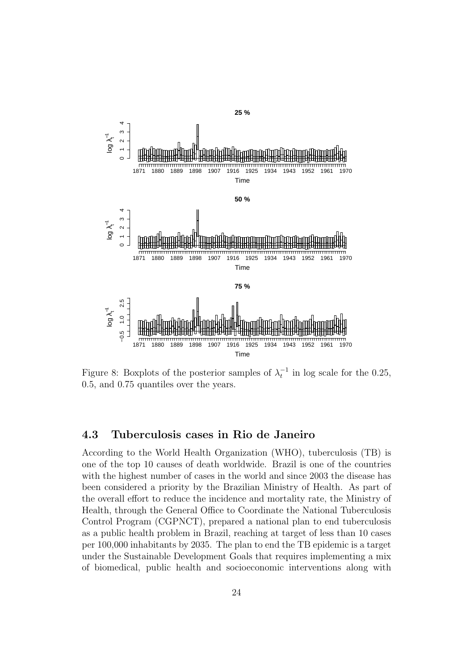

<span id="page-23-0"></span>Figure 8: Boxplots of the posterior samples of  $\lambda_t^{-1}$  in log scale for the 0.25, 0.5, and 0.75 quantiles over the years.

### 4.3 Tuberculosis cases in Rio de Janeiro

According to the World Health Organization (WHO), tuberculosis (TB) is one of the top 10 causes of death worldwide. Brazil is one of the countries with the highest number of cases in the world and since 2003 the disease has been considered a priority by the Brazilian Ministry of Health. As part of the overall effort to reduce the incidence and mortality rate, the Ministry of Health, through the General Office to Coordinate the National Tuberculosis Control Program (CGPNCT), prepared a national plan to end tuberculosis as a public health problem in Brazil, reaching at target of less than 10 cases per 100,000 inhabitants by 2035. The plan to end the TB epidemic is a target under the Sustainable Development Goals that requires implementing a mix of biomedical, public health and socioeconomic interventions along with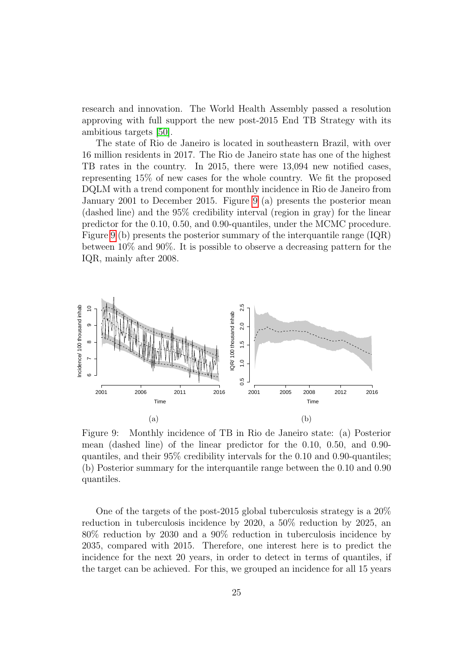research and innovation. The World Health Assembly passed a resolution approving with full support the new post-2015 End TB Strategy with its ambitious targets [\[50\]](#page-36-10).

The state of Rio de Janeiro is located in southeastern Brazil, with over 16 million residents in 2017. The Rio de Janeiro state has one of the highest TB rates in the country. In 2015, there were 13,094 new notified cases, representing 15% of new cases for the whole country. We fit the proposed DQLM with a trend component for monthly incidence in Rio de Janeiro from January 2001 to December 2015. Figure [9](#page-24-0) (a) presents the posterior mean (dashed line) and the 95% credibility interval (region in gray) for the linear predictor for the 0.10, 0.50, and 0.90-quantiles, under the MCMC procedure. Figure [9](#page-24-0) (b) presents the posterior summary of the interquantile range (IQR) between 10% and 90%. It is possible to observe a decreasing pattern for the IQR, mainly after 2008.



<span id="page-24-0"></span>Figure 9: Monthly incidence of TB in Rio de Janeiro state: (a) Posterior mean (dashed line) of the linear predictor for the 0.10, 0.50, and 0.90 quantiles, and their 95% credibility intervals for the 0.10 and 0.90-quantiles; (b) Posterior summary for the interquantile range between the 0.10 and 0.90 quantiles.

One of the targets of the post-2015 global tuberculosis strategy is a 20% reduction in tuberculosis incidence by 2020, a 50% reduction by 2025, an 80% reduction by 2030 and a 90% reduction in tuberculosis incidence by 2035, compared with 2015. Therefore, one interest here is to predict the incidence for the next 20 years, in order to detect in terms of quantiles, if the target can be achieved. For this, we grouped an incidence for all 15 years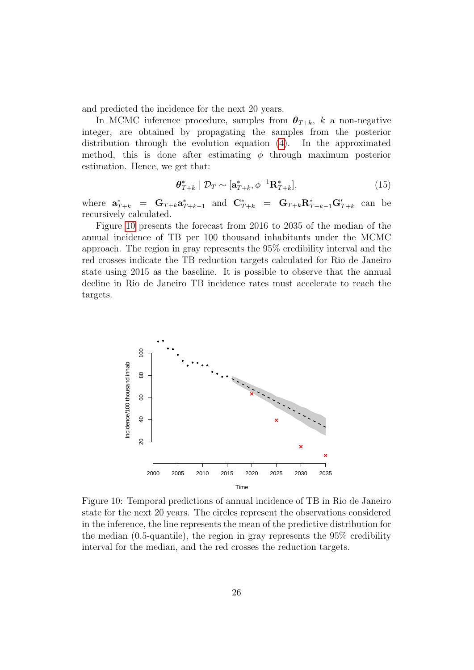and predicted the incidence for the next 20 years.

In MCMC inference procedure, samples from  $\theta_{T+k}$ , k a non-negative integer, are obtained by propagating the samples from the posterior distribution through the evolution equation [\(4\)](#page-5-0). In the approximated method, this is done after estimating  $\phi$  through maximum posterior estimation. Hence, we get that:

$$
\boldsymbol{\theta}_{T+k}^* \mid \mathcal{D}_T \sim [\mathbf{a}_{T+k}^*, \phi^{-1} \mathbf{R}_{T+k}^*],\tag{15}
$$

where  $\mathbf{a}_{T+k}^* = \mathbf{G}_{T+k} \mathbf{a}_{T+k-1}^*$  and  $\mathbf{C}_{T+k}^* = \mathbf{G}_{T+k} \mathbf{R}_{T+k-1}^* \mathbf{G}_{T+k}'$  can be recursively calculated.

Figure [10](#page-25-0) presents the forecast from 2016 to 2035 of the median of the annual incidence of TB per 100 thousand inhabitants under the MCMC approach. The region in gray represents the 95% credibility interval and the red crosses indicate the TB reduction targets calculated for Rio de Janeiro state using 2015 as the baseline. It is possible to observe that the annual decline in Rio de Janeiro TB incidence rates must accelerate to reach the targets.



<span id="page-25-0"></span>Figure 10: Temporal predictions of annual incidence of TB in Rio de Janeiro state for the next 20 years. The circles represent the observations considered in the inference, the line represents the mean of the predictive distribution for the median (0.5-quantile), the region in gray represents the 95% credibility interval for the median, and the red crosses the reduction targets.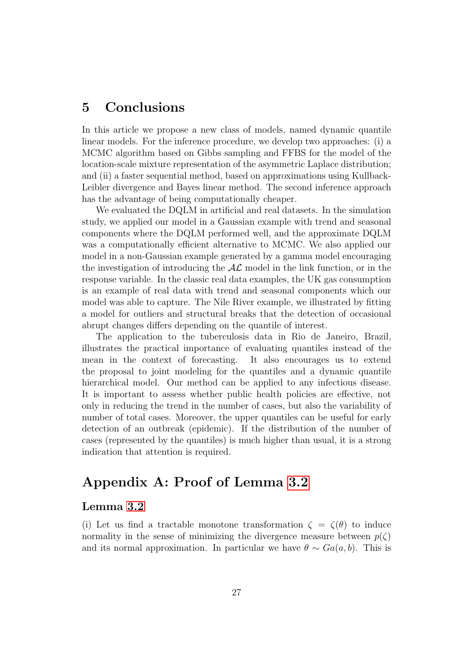## 5 Conclusions

In this article we propose a new class of models, named dynamic quantile linear models. For the inference procedure, we develop two approaches: (i) a MCMC algorithm based on Gibbs sampling and FFBS for the model of the location-scale mixture representation of the asymmetric Laplace distribution; and (ii) a faster sequential method, based on approximations using Kullback-Leibler divergence and Bayes linear method. The second inference approach has the advantage of being computationally cheaper.

We evaluated the DQLM in artificial and real datasets. In the simulation study, we applied our model in a Gaussian example with trend and seasonal components where the DQLM performed well, and the approximate DQLM was a computationally efficient alternative to MCMC. We also applied our model in a non-Gaussian example generated by a gamma model encouraging the investigation of introducing the  $A\mathcal{L}$  model in the link function, or in the response variable. In the classic real data examples, the UK gas consumption is an example of real data with trend and seasonal components which our model was able to capture. The Nile River example, we illustrated by fitting a model for outliers and structural breaks that the detection of occasional abrupt changes differs depending on the quantile of interest.

The application to the tuberculosis data in Rio de Janeiro, Brazil, illustrates the practical importance of evaluating quantiles instead of the mean in the context of forecasting. It also encourages us to extend the proposal to joint modeling for the quantiles and a dynamic quantile hierarchical model. Our method can be applied to any infectious disease. It is important to assess whether public health policies are effective, not only in reducing the trend in the number of cases, but also the variability of number of total cases. Moreover, the upper quantiles can be useful for early detection of an outbreak (epidemic). If the distribution of the number of cases (represented by the quantiles) is much higher than usual, it is a strong indication that attention is required.

## Appendix A: Proof of Lemma [3.2](#page-7-1)

### Lemma [3.2](#page-7-1)

(i) Let us find a tractable monotone transformation  $\zeta = \zeta(\theta)$  to induce normality in the sense of minimizing the divergence measure between  $p(\zeta)$ and its normal approximation. In particular we have  $\theta \sim Ga(a, b)$ . This is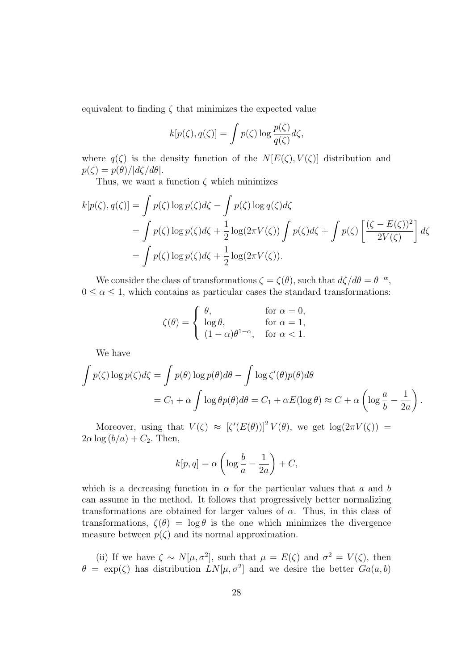equivalent to finding  $\zeta$  that minimizes the expected value

$$
k[p(\zeta), q(\zeta)] = \int p(\zeta) \log \frac{p(\zeta)}{q(\zeta)} d\zeta,
$$

where  $q(\zeta)$  is the density function of the  $N[E(\zeta), V(\zeta)]$  distribution and  $p(\zeta) = p(\theta)/|d\zeta/d\theta|.$ 

Thus, we want a function  $\zeta$  which minimizes

$$
k[p(\zeta), q(\zeta)] = \int p(\zeta) \log p(\zeta) d\zeta - \int p(\zeta) \log q(\zeta) d\zeta
$$
  
= 
$$
\int p(\zeta) \log p(\zeta) d\zeta + \frac{1}{2} \log(2\pi V(\zeta)) \int p(\zeta) d\zeta + \int p(\zeta) \left[ \frac{(\zeta - E(\zeta))^2}{2V(\zeta)} \right] d\zeta
$$
  
= 
$$
\int p(\zeta) \log p(\zeta) d\zeta + \frac{1}{2} \log(2\pi V(\zeta)).
$$

We consider the class of transformations  $\zeta = \zeta(\theta)$ , such that  $d\zeta/d\theta = \theta^{-\alpha}$ ,  $0 \leq \alpha \leq 1$ , which contains as particular cases the standard transformations:

$$
\zeta(\theta) = \begin{cases}\n\theta, & \text{for } \alpha = 0, \\
\log \theta, & \text{for } \alpha = 1, \\
(1 - \alpha)\theta^{1 - \alpha}, & \text{for } \alpha < 1.\n\end{cases}
$$

We have

$$
\int p(\zeta) \log p(\zeta) d\zeta = \int p(\theta) \log p(\theta) d\theta - \int \log \zeta'(\theta) p(\theta) d\theta
$$
  
=  $C_1 + \alpha \int \log \theta p(\theta) d\theta = C_1 + \alpha E(\log \theta) \approx C + \alpha \left( \log \frac{a}{b} - \frac{1}{2a} \right).$ 

Moreover, using that  $V(\zeta) \approx [\zeta'(E(\theta))]^2 V(\theta)$ , we get  $\log(2\pi V(\zeta))$  =  $2\alpha \log(b/a) + C_2$ . Then,

$$
k[p, q] = \alpha \left( \log \frac{b}{a} - \frac{1}{2a} \right) + C,
$$

which is a decreasing function in  $\alpha$  for the particular values that a and b can assume in the method. It follows that progressively better normalizing transformations are obtained for larger values of  $\alpha$ . Thus, in this class of transformations,  $\zeta(\theta) = \log \theta$  is the one which minimizes the divergence measure between  $p(\zeta)$  and its normal approximation.

(ii) If we have  $\zeta \sim N[\mu, \sigma^2]$ , such that  $\mu = E(\zeta)$  and  $\sigma^2 = V(\zeta)$ , then  $\theta = \exp(\zeta)$  has distribution  $LN[\mu, \sigma^2]$  and we desire the better  $Ga(a, b)$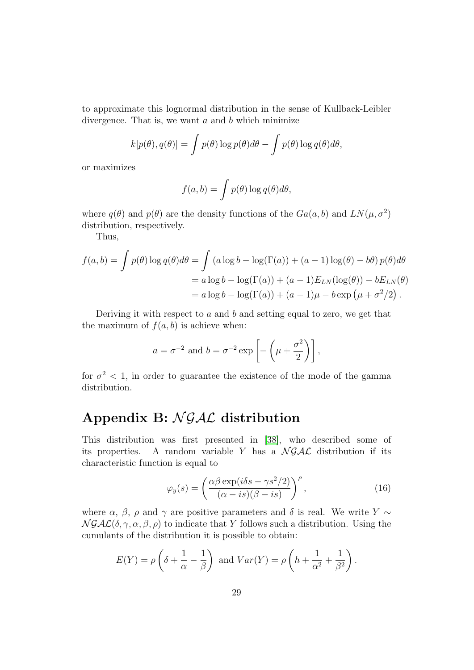to approximate this lognormal distribution in the sense of Kullback-Leibler divergence. That is, we want  $a$  and  $b$  which minimize

$$
k[p(\theta), q(\theta)] = \int p(\theta) \log p(\theta) d\theta - \int p(\theta) \log q(\theta) d\theta,
$$

or maximizes

$$
f(a,b) = \int p(\theta) \log q(\theta) d\theta,
$$

where  $q(\theta)$  and  $p(\theta)$  are the density functions of the  $Ga(a, b)$  and  $LN(\mu, \sigma^2)$ distribution, respectively.

Thus,

$$
f(a,b) = \int p(\theta) \log q(\theta) d\theta = \int (a \log b - \log(\Gamma(a)) + (a-1) \log(\theta) - b\theta) p(\theta) d\theta
$$
  
=  $a \log b - \log(\Gamma(a)) + (a-1) E_{LN}(\log(\theta)) - b E_{LN}(\theta)$   
=  $a \log b - \log(\Gamma(a)) + (a-1)\mu - b \exp(\mu + \sigma^2/2)$ .

Deriving it with respect to  $a$  and  $b$  and setting equal to zero, we get that the maximum of  $f(a, b)$  is achieve when:

$$
a = \sigma^{-2}
$$
 and  $b = \sigma^{-2} \exp \left[ -\left(\mu + \frac{\sigma^2}{2}\right) \right]$ ,

for  $\sigma^2$  < 1, in order to guarantee the existence of the mode of the gamma distribution.

# Appendix B:  $\mathcal{N} \mathcal{G} \mathcal{A} \mathcal{L}$  distribution

This distribution was first presented in [\[38\]](#page-35-11), who described some of its properties. A random variable Y has a  $N \mathcal{GAL}$  distribution if its characteristic function is equal to

<span id="page-28-0"></span>
$$
\varphi_y(s) = \left(\frac{\alpha\beta \exp(i\delta s - \gamma s^2/2)}{(\alpha - is)(\beta - is)}\right)^{\rho},\tag{16}
$$

where  $\alpha$ ,  $\beta$ ,  $\rho$  and  $\gamma$  are positive parameters and  $\delta$  is real. We write Y  $\sim$  $N \mathcal{GAL}(\delta, \gamma, \alpha, \beta, \rho)$  to indicate that Y follows such a distribution. Using the cumulants of the distribution it is possible to obtain:

$$
E(Y) = \rho \left( \delta + \frac{1}{\alpha} - \frac{1}{\beta} \right) \text{ and } Var(Y) = \rho \left( h + \frac{1}{\alpha^2} + \frac{1}{\beta^2} \right).
$$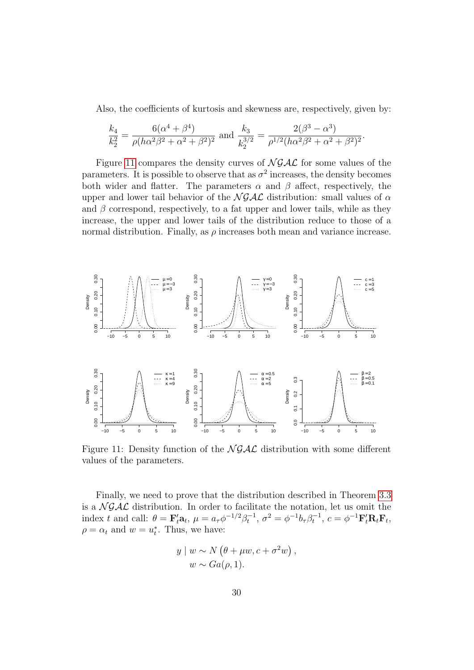Also, the coefficients of kurtosis and skewness are, respectively, given by:

.

$$
\frac{k_4}{k_2^2} = \frac{6(\alpha^4 + \beta^4)}{\rho(h\alpha^2\beta^2 + \alpha^2 + \beta^2)^2}
$$
 and 
$$
\frac{k_3}{k_2^{3/2}} = \frac{2(\beta^3 - \alpha^3)}{\rho^{1/2}(h\alpha^2\beta^2 + \alpha^2 + \beta^2)^2}
$$

Figure [11](#page-29-0) compares the density curves of  $\mathcal{N} \mathcal{G} \mathcal{A} \mathcal{L}$  for some values of the parameters. It is possible to observe that as  $\sigma^2$  increases, the density becomes both wider and flatter. The parameters  $\alpha$  and  $\beta$  affect, respectively, the upper and lower tail behavior of the  $N \mathcal{GAL}$  distribution: small values of  $\alpha$ and  $\beta$  correspond, respectively, to a fat upper and lower tails, while as they increase, the upper and lower tails of the distribution reduce to those of a normal distribution. Finally, as  $\rho$  increases both mean and variance increase.



<span id="page-29-0"></span>Figure 11: Density function of the  $N \mathcal{GAL}$  distribution with some different values of the parameters.

Finally, we need to prove that the distribution described in Theorem [3.3](#page-9-0) is a  $N \mathcal{GAL}$  distribution. In order to facilitate the notation, let us omit the index t and call:  $\theta = \mathbf{F}'_t \mathbf{a}_t$ ,  $\mu = a_\tau \phi^{-1/2} \beta_t^{-1}$ ,  $\sigma^2 = \phi^{-1} b_\tau \beta_t^{-1}$ ,  $c = \phi^{-1} \mathbf{F}'_t \mathbf{R}_t \mathbf{F}_t$ ,  $\rho = \alpha_t$  and  $w = u_t^*$ . Thus, we have:

$$
y \mid w \sim N(\theta + \mu w, c + \sigma^2 w),
$$
  

$$
w \sim Ga(\rho, 1).
$$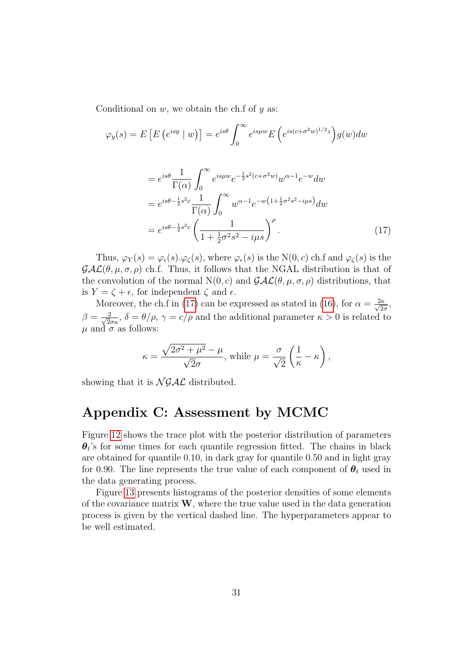Conditional on  $w$ , we obtain the ch.f of  $y$  as:

 $\varphi_y$ 

$$
(s) = E\left[E\left(e^{isy} \mid w\right)\right] = e^{is\theta} \int_0^\infty e^{isyw} E\left(e^{is(c+\sigma^2 w)^{1/2}z}\right) g(w) dw
$$

$$
= e^{is\theta} \frac{1}{\Gamma(\alpha)} \int_0^\infty e^{isyw} e^{-\frac{1}{2}s^2(c+\sigma^2 w)} w^{\alpha-1} e^{-w} dw
$$

$$
= e^{is\theta - \frac{1}{2}s^2c} \frac{1}{\Gamma(\alpha)} \int_0^\infty w^{\alpha-1} e^{-w\left(1 + \frac{1}{2}\sigma^2 s^2 - i\mu s\right)} dw
$$

$$
= e^{is\theta - \frac{1}{2}s^2c} \left(\frac{1}{1 + \frac{1}{2}\sigma^2 s^2 - i\mu s}\right)^\rho.
$$
(17)

Thus,  $\varphi_Y(s) = \varphi_\epsilon(s) \cdot \varphi_\zeta(s)$ , where  $\varphi_\epsilon(s)$  is the N(0, c) ch.f and  $\varphi_\zeta(s)$  is the  $\mathcal{GAL}(\theta, \mu, \sigma, \rho)$  ch.f. Thus, it follows that the NGAL distribution is that of the convolution of the normal  $N(0, c)$  and  $\mathcal{GAL}(\theta, \mu, \sigma, \rho)$  distributions, that is  $Y = \zeta + \epsilon$ , for independent  $\zeta$  and  $\epsilon$ .

Moreover, the ch.f in [\(17\)](#page-30-0) can be expressed as stated in [\(16\)](#page-28-0), for  $\alpha = \frac{2\kappa}{\sqrt{2}}$  $rac{2\kappa}{2\sigma}$  $\beta = \frac{2}{\sqrt{2}}$  $\frac{2}{2\sigma\kappa}$ ,  $\delta = \theta/\rho$ ,  $\gamma = c/\rho$  and the additional parameter  $\kappa > 0$  is related to  $\mu$  and  $\sigma$  as follows:

<span id="page-30-0"></span>
$$
\kappa = \frac{\sqrt{2\sigma^2 + \mu^2} - \mu}{\sqrt{2}\sigma}, \text{ while } \mu = \frac{\sigma}{\sqrt{2}} \left( \frac{1}{\kappa} - \kappa \right),
$$

showing that it is  $\mathcal{N} \mathcal{G} \mathcal{A} \mathcal{L}$  distributed.

## Appendix C: Assessment by MCMC

Figure [12](#page-31-0) shows the trace plot with the posterior distribution of parameters  $\theta_t$ 's for some times for each quantile regression fitted. The chains in black are obtained for quantile 0.10, in dark gray for quantile 0.50 and in light gray for 0.90. The line represents the true value of each component of  $\theta_t$  used in the data generating process.

Figure [13](#page-32-7) presents histograms of the posterior densities of some elements of the covariance matrix  $W$ , where the true value used in the data generation process is given by the vertical dashed line. The hyperparameters appear to be well estimated.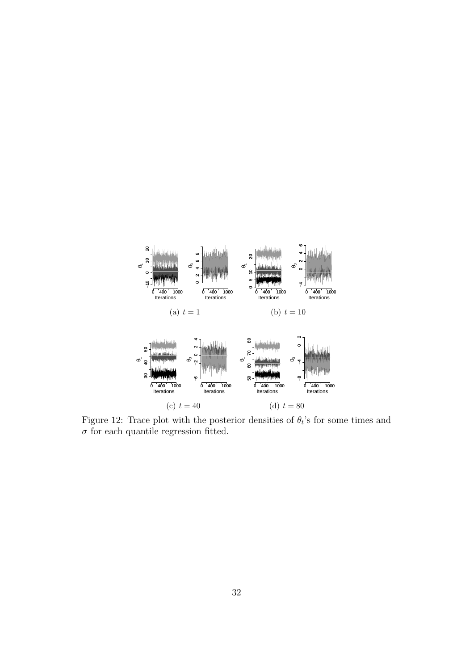

<span id="page-31-0"></span>Figure 12: Trace plot with the posterior densities of  $\theta_t$ 's for some times and  $\sigma$  for each quantile regression fitted.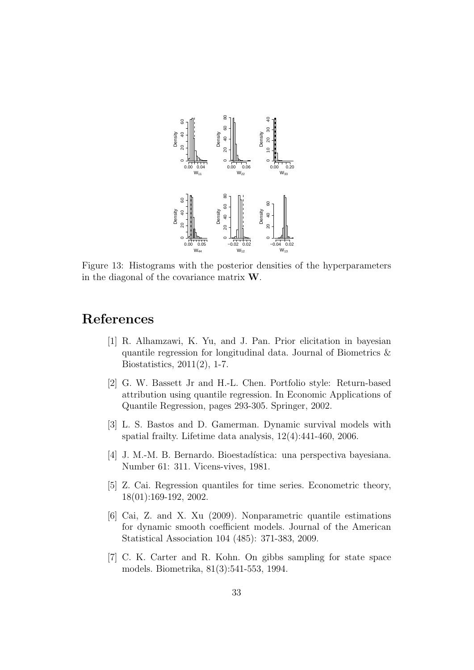

<span id="page-32-7"></span>Figure 13: Histograms with the posterior densities of the hyperparameters in the diagonal of the covariance matrix W.

## <span id="page-32-2"></span>References

- [1] R. Alhamzawi, K. Yu, and J. Pan. Prior elicitation in bayesian quantile regression for longitudinal data. Journal of Biometrics & Biostatistics, 2011(2), 1-7.
- <span id="page-32-4"></span>[2] G. W. Bassett Jr and H.-L. Chen. Portfolio style: Return-based attribution using quantile regression. In Economic Applications of Quantile Regression, pages 293-305. Springer, 2002.
- <span id="page-32-0"></span>[3] L. S. Bastos and D. Gamerman. Dynamic survival models with spatial frailty. Lifetime data analysis, 12(4):441-460, 2006.
- <span id="page-32-6"></span>[4] J. M.-M. B. Bernardo. Bioestadística: una perspectiva bayesiana. Number 61: 311. Vicens-vives, 1981.
- <span id="page-32-3"></span>[5] Z. Cai. Regression quantiles for time series. Econometric theory, 18(01):169-192, 2002.
- <span id="page-32-1"></span>[6] Cai, Z. and X. Xu (2009). Nonparametric quantile estimations for dynamic smooth coefficient models. Journal of the American Statistical Association 104 (485): 371-383, 2009.
- <span id="page-32-5"></span>[7] C. K. Carter and R. Kohn. On gibbs sampling for state space models. Biometrika, 81(3):541-553, 1994.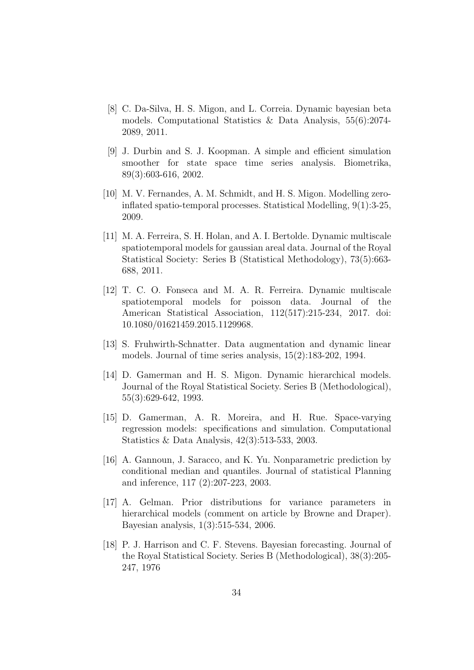- <span id="page-33-7"></span>[8] C. Da-Silva, H. S. Migon, and L. Correia. Dynamic bayesian beta models. Computational Statistics & Data Analysis, 55(6):2074- 2089, 2011.
- <span id="page-33-2"></span>[9] J. Durbin and S. J. Koopman. A simple and efficient simulation smoother for state space time series analysis. Biometrika, 89(3):603-616, 2002.
- <span id="page-33-6"></span>[10] M. V. Fernandes, A. M. Schmidt, and H. S. Migon. Modelling zeroinflated spatio-temporal processes. Statistical Modelling, 9(1):3-25, 2009.
- <span id="page-33-4"></span>[11] M. A. Ferreira, S. H. Holan, and A. I. Bertolde. Dynamic multiscale spatiotemporal models for gaussian areal data. Journal of the Royal Statistical Society: Series B (Statistical Methodology), 73(5):663- 688, 2011.
- <span id="page-33-5"></span>[12] T. C. O. Fonseca and M. A. R. Ferreira. Dynamic multiscale spatiotemporal models for poisson data. Journal of the American Statistical Association, 112(517):215-234, 2017. doi: 10.1080/01621459.2015.1129968.
- <span id="page-33-9"></span>[13] S. Fruhwirth-Schnatter. Data augmentation and dynamic linear models. Journal of time series analysis, 15(2):183-202, 1994.
- <span id="page-33-1"></span>[14] D. Gamerman and H. S. Migon. Dynamic hierarchical models. Journal of the Royal Statistical Society. Series B (Methodological), 55(3):629-642, 1993.
- <span id="page-33-3"></span>[15] D. Gamerman, A. R. Moreira, and H. Rue. Space-varying regression models: specifications and simulation. Computational Statistics & Data Analysis, 42(3):513-533, 2003.
- <span id="page-33-8"></span>[16] A. Gannoun, J. Saracco, and K. Yu. Nonparametric prediction by conditional median and quantiles. Journal of statistical Planning and inference, 117 (2):207-223, 2003.
- <span id="page-33-10"></span>[17] A. Gelman. Prior distributions for variance parameters in hierarchical models (comment on article by Browne and Draper). Bayesian analysis, 1(3):515-534, 2006.
- <span id="page-33-0"></span>[18] P. J. Harrison and C. F. Stevens. Bayesian forecasting. Journal of the Royal Statistical Society. Series B (Methodological), 38(3):205- 247, 1976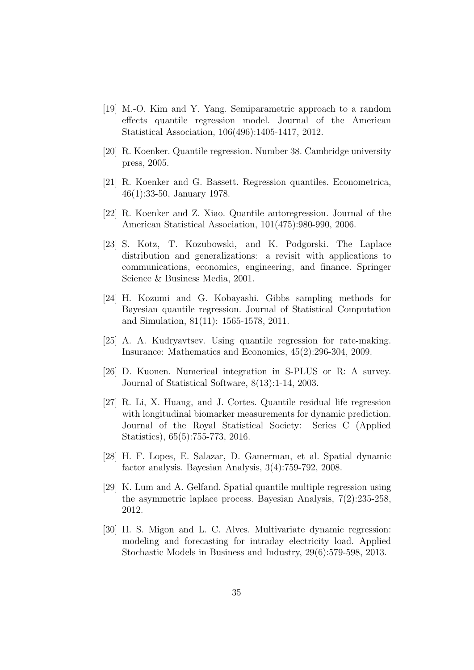- <span id="page-34-4"></span>[19] M.-O. Kim and Y. Yang. Semiparametric approach to a random effects quantile regression model. Journal of the American Statistical Association, 106(496):1405-1417, 2012.
- <span id="page-34-3"></span>[20] R. Koenker. Quantile regression. Number 38. Cambridge university press, 2005.
- <span id="page-34-0"></span>[21] R. Koenker and G. Bassett. Regression quantiles. Econometrica, 46(1):33-50, January 1978.
- <span id="page-34-5"></span>[22] R. Koenker and Z. Xiao. Quantile autoregression. Journal of the American Statistical Association, 101(475):980-990, 2006.
- <span id="page-34-10"></span>[23] S. Kotz, T. Kozubowski, and K. Podgorski. The Laplace distribution and generalizations: a revisit with applications to communications, economics, engineering, and finance. Springer Science & Business Media, 2001.
- <span id="page-34-9"></span>[24] H. Kozumi and G. Kobayashi. Gibbs sampling methods for Bayesian quantile regression. Journal of Statistical Computation and Simulation, 81(11): 1565-1578, 2011.
- <span id="page-34-7"></span>[25] A. A. Kudryavtsev. Using quantile regression for rate-making. Insurance: Mathematics and Economics, 45(2):296-304, 2009.
- <span id="page-34-11"></span>[26] D. Kuonen. Numerical integration in S-PLUS or R: A survey. Journal of Statistical Software, 8(13):1-14, 2003.
- <span id="page-34-8"></span>[27] R. Li, X. Huang, and J. Cortes. Quantile residual life regression with longitudinal biomarker measurements for dynamic prediction. Journal of the Royal Statistical Society: Series C (Applied Statistics), 65(5):755-773, 2016.
- <span id="page-34-1"></span>[28] H. F. Lopes, E. Salazar, D. Gamerman, et al. Spatial dynamic factor analysis. Bayesian Analysis, 3(4):759-792, 2008.
- <span id="page-34-6"></span>[29] K. Lum and A. Gelfand. Spatial quantile multiple regression using the asymmetric laplace process. Bayesian Analysis, 7(2):235-258, 2012.
- <span id="page-34-2"></span>[30] H. S. Migon and L. C. Alves. Multivariate dynamic regression: modeling and forecasting for intraday electricity load. Applied Stochastic Models in Business and Industry, 29(6):579-598, 2013.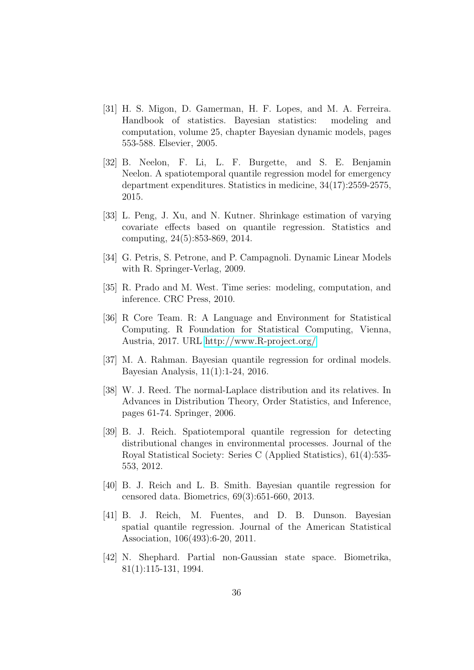- <span id="page-35-0"></span>[31] H. S. Migon, D. Gamerman, H. F. Lopes, and M. A. Ferreira. Handbook of statistics. Bayesian statistics: modeling and computation, volume 25, chapter Bayesian dynamic models, pages 553-588. Elsevier, 2005.
- <span id="page-35-7"></span>[32] B. Neelon, F. Li, L. F. Burgette, and S. E. Benjamin Neelon. A spatiotemporal quantile regression model for emergency department expenditures. Statistics in medicine, 34(17):2559-2575, 2015.
- <span id="page-35-3"></span>[33] L. Peng, J. Xu, and N. Kutner. Shrinkage estimation of varying covariate effects based on quantile regression. Statistics and computing, 24(5):853-869, 2014.
- <span id="page-35-1"></span>[34] G. Petris, S. Petrone, and P. Campagnoli. Dynamic Linear Models with R. Springer-Verlag, 2009.
- <span id="page-35-2"></span>[35] R. Prado and M. West. Time series: modeling, computation, and inference. CRC Press, 2010.
- <span id="page-35-10"></span>[36] R Core Team. R: A Language and Environment for Statistical Computing. R Foundation for Statistical Computing, Vienna, Austria, 2017. URL<http://www.R-project.org/>
- <span id="page-35-8"></span>[37] M. A. Rahman. Bayesian quantile regression for ordinal models. Bayesian Analysis, 11(1):1-24, 2016.
- <span id="page-35-11"></span>[38] W. J. Reed. The normal-Laplace distribution and its relatives. In Advances in Distribution Theory, Order Statistics, and Inference, pages 61-74. Springer, 2006.
- <span id="page-35-5"></span>[39] B. J. Reich. Spatiotemporal quantile regression for detecting distributional changes in environmental processes. Journal of the Royal Statistical Society: Series C (Applied Statistics), 61(4):535- 553, 2012.
- <span id="page-35-6"></span>[40] B. J. Reich and L. B. Smith. Bayesian quantile regression for censored data. Biometrics, 69(3):651-660, 2013.
- <span id="page-35-4"></span>[41] B. J. Reich, M. Fuentes, and D. B. Dunson. Bayesian spatial quantile regression. Journal of the American Statistical Association, 106(493):6-20, 2011.
- <span id="page-35-9"></span>[42] N. Shephard. Partial non-Gaussian state space. Biometrika, 81(1):115-131, 1994.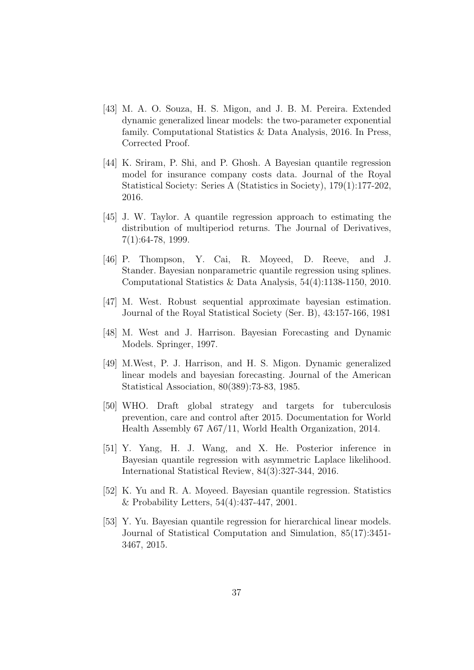- <span id="page-36-2"></span>[43] M. A. O. Souza, H. S. Migon, and J. B. M. Pereira. Extended dynamic generalized linear models: the two-parameter exponential family. Computational Statistics & Data Analysis, 2016. In Press, Corrected Proof.
- <span id="page-36-9"></span>[44] K. Sriram, P. Shi, and P. Ghosh. A Bayesian quantile regression model for insurance company costs data. Journal of the Royal Statistical Society: Series A (Statistics in Society), 179(1):177-202, 2016.
- <span id="page-36-8"></span>[45] J. W. Taylor. A quantile regression approach to estimating the distribution of multiperiod returns. The Journal of Derivatives, 7(1):64-78, 1999.
- <span id="page-36-5"></span>[46] P. Thompson, Y. Cai, R. Moyeed, D. Reeve, and J. Stander. Bayesian nonparametric quantile regression using splines. Computational Statistics & Data Analysis, 54(4):1138-1150, 2010.
- <span id="page-36-3"></span>[47] M. West. Robust sequential approximate bayesian estimation. Journal of the Royal Statistical Society (Ser. B), 43:157-166, 1981
- <span id="page-36-1"></span>[48] M. West and J. Harrison. Bayesian Forecasting and Dynamic Models. Springer, 1997.
- <span id="page-36-0"></span>[49] M.West, P. J. Harrison, and H. S. Migon. Dynamic generalized linear models and bayesian forecasting. Journal of the American Statistical Association, 80(389):73-83, 1985.
- <span id="page-36-10"></span>[50] WHO. Draft global strategy and targets for tuberculosis prevention, care and control after 2015. Documentation for World Health Assembly 67 A67/11, World Health Organization, 2014.
- <span id="page-36-6"></span>[51] Y. Yang, H. J. Wang, and X. He. Posterior inference in Bayesian quantile regression with asymmetric Laplace likelihood. International Statistical Review, 84(3):327-344, 2016.
- <span id="page-36-4"></span>[52] K. Yu and R. A. Moyeed. Bayesian quantile regression. Statistics & Probability Letters, 54(4):437-447, 2001.
- <span id="page-36-7"></span>[53] Y. Yu. Bayesian quantile regression for hierarchical linear models. Journal of Statistical Computation and Simulation, 85(17):3451- 3467, 2015.